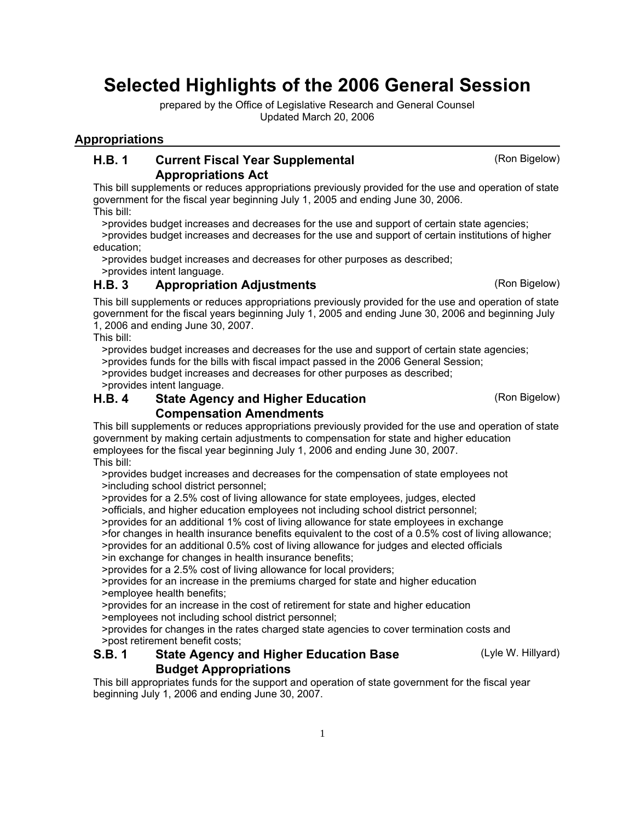# Selected Highlights of the 2006 General Session

prepared by the Office of Legislative Research and General Counsel Updated March 20, 2006

### **Appropriations**

#### Current Fiscal Year Supplemental (Ron Bigelow) Appropriations Act H.B. 1

This bill supplements or reduces appropriations previously provided for the use and operation of state government for the fiscal year beginning July 1, 2005 and ending June 30, 2006. This bill:

>provides budget increases and decreases for the use and support of certain state agencies;

 >provides budget increases and decreases for the use and support of certain institutions of higher education;

>provides budget increases and decreases for other purposes as described;

>provides intent language.

## H.B. 3 Appropriation Adjustments (Ron Bigelow)

This bill supplements or reduces appropriations previously provided for the use and operation of state government for the fiscal years beginning July 1, 2005 and ending June 30, 2006 and beginning July 1, 2006 and ending June 30, 2007.

This bill:

 >provides budget increases and decreases for the use and support of certain state agencies; >provides funds for the bills with fiscal impact passed in the 2006 General Session; >provides budget increases and decreases for other purposes as described;

>provides intent language.

#### **State Agency and Higher Education** (Ron Bigelow) Compensation Amendments H.B. 4

This bill supplements or reduces appropriations previously provided for the use and operation of state government by making certain adjustments to compensation for state and higher education employees for the fiscal year beginning July 1, 2006 and ending June 30, 2007. This bill:

 >provides budget increases and decreases for the compensation of state employees not >including school district personnel;

>provides for a 2.5% cost of living allowance for state employees, judges, elected

>officials, and higher education employees not including school district personnel;

>provides for an additional 1% cost of living allowance for state employees in exchange

>for changes in health insurance benefits equivalent to the cost of a 0.5% cost of living allowance;

 >provides for an additional 0.5% cost of living allowance for judges and elected officials >in exchange for changes in health insurance benefits;

>provides for a 2.5% cost of living allowance for local providers;

 >provides for an increase in the premiums charged for state and higher education >employee health benefits;

>provides for an increase in the cost of retirement for state and higher education

>employees not including school district personnel;

 >provides for changes in the rates charged state agencies to cover termination costs and >post retirement benefit costs;

#### **State Agency and Higher Education Base** (Lyle W. Hillyard) Budget Appropriations S.B. 1

This bill appropriates funds for the support and operation of state government for the fiscal year beginning July 1, 2006 and ending June 30, 2007.

1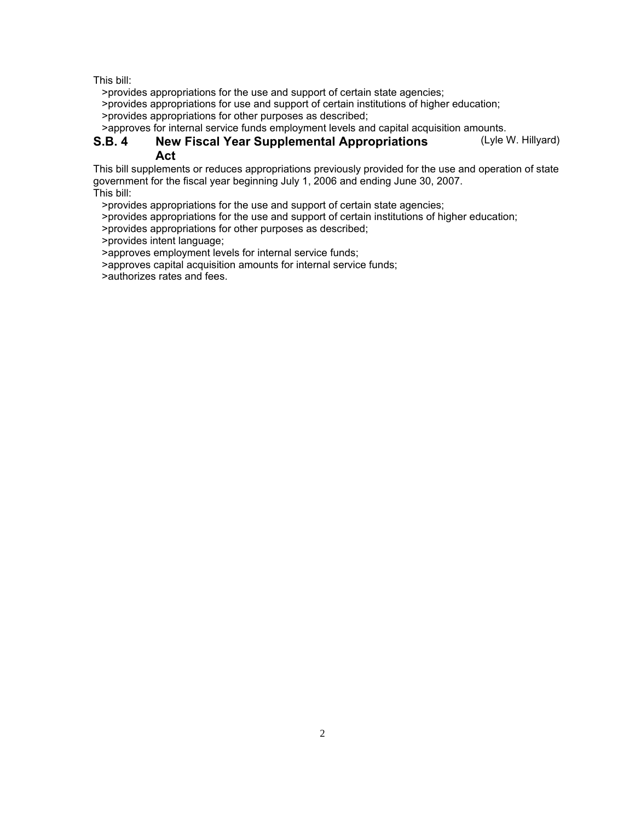>provides appropriations for the use and support of certain state agencies;

>provides appropriations for use and support of certain institutions of higher education;

>provides appropriations for other purposes as described;

>approves for internal service funds employment levels and capital acquisition amounts.

#### New Fiscal Year Supplemental Appropriations (Lyle W. Hillyard) Act S.B. 4

This bill supplements or reduces appropriations previously provided for the use and operation of state government for the fiscal year beginning July 1, 2006 and ending June 30, 2007. This bill:

>provides appropriations for the use and support of certain state agencies;

>provides appropriations for the use and support of certain institutions of higher education;

>provides appropriations for other purposes as described;

>provides intent language;

>approves employment levels for internal service funds;

>approves capital acquisition amounts for internal service funds;

>authorizes rates and fees.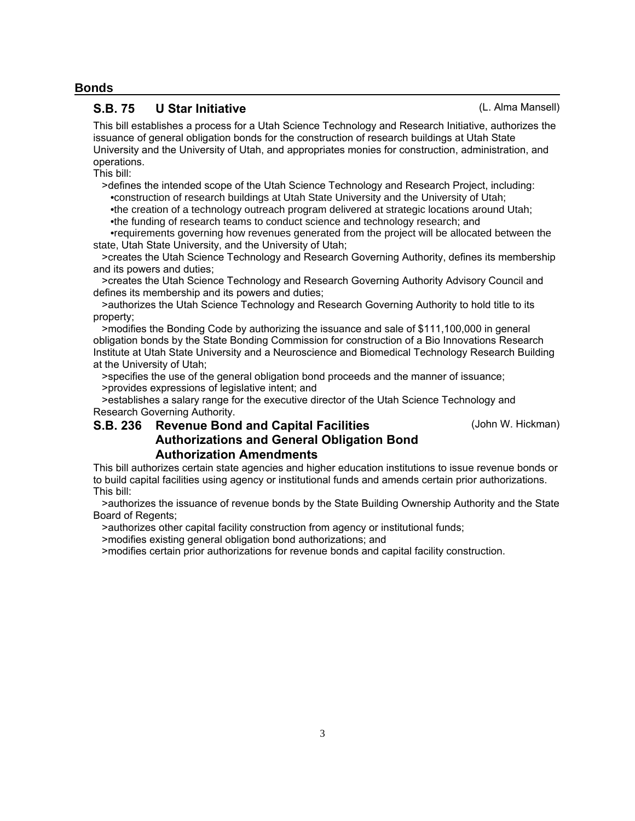#### **Bonds**

### S.B. 75 U Star Initiative (L. Alma Mansell)

This bill establishes a process for a Utah Science Technology and Research Initiative, authorizes the issuance of general obligation bonds for the construction of research buildings at Utah State University and the University of Utah, and appropriates monies for construction, administration, and operations.

This bill:

 >defines the intended scope of the Utah Science Technology and Research Project, including: •construction of research buildings at Utah State University and the University of Utah;

 •the creation of a technology outreach program delivered at strategic locations around Utah; •the funding of research teams to conduct science and technology research; and

 •requirements governing how revenues generated from the project will be allocated between the state, Utah State University, and the University of Utah;

 >creates the Utah Science Technology and Research Governing Authority, defines its membership and its powers and duties;

 >creates the Utah Science Technology and Research Governing Authority Advisory Council and defines its membership and its powers and duties;

 >authorizes the Utah Science Technology and Research Governing Authority to hold title to its property;

 >modifies the Bonding Code by authorizing the issuance and sale of \$111,100,000 in general obligation bonds by the State Bonding Commission for construction of a Bio Innovations Research Institute at Utah State University and a Neuroscience and Biomedical Technology Research Building at the University of Utah;

 >specifies the use of the general obligation bond proceeds and the manner of issuance; >provides expressions of legislative intent; and

 >establishes a salary range for the executive director of the Utah Science Technology and Research Governing Authority.

## S.B. 236 Revenue Bond and Capital Facilities (John W. Hickman) Authorizations and General Obligation Bond Authorization Amendments

This bill authorizes certain state agencies and higher education institutions to issue revenue bonds or to build capital facilities using agency or institutional funds and amends certain prior authorizations. This bill:

 >authorizes the issuance of revenue bonds by the State Building Ownership Authority and the State Board of Regents;

>authorizes other capital facility construction from agency or institutional funds;

>modifies existing general obligation bond authorizations; and

>modifies certain prior authorizations for revenue bonds and capital facility construction.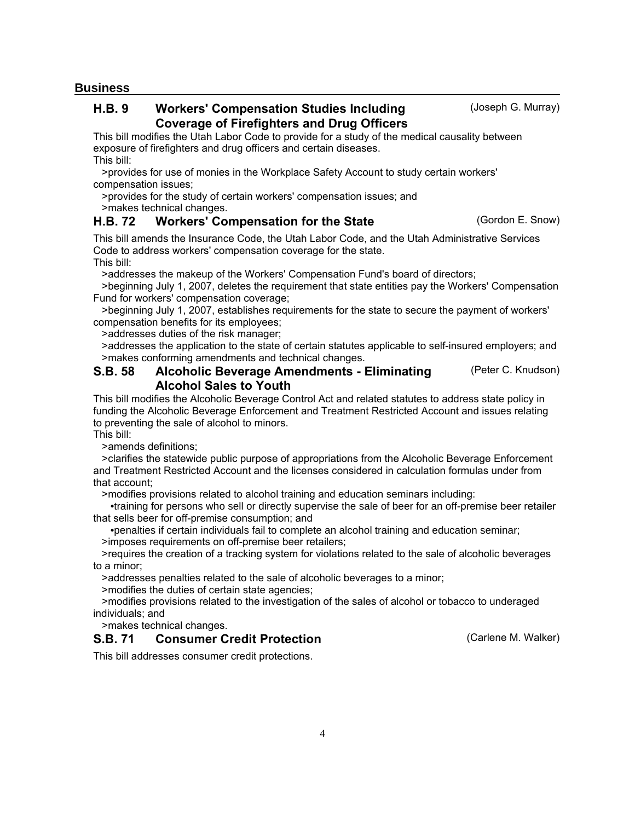**Business**

#### Workers' Compensation Studies Including **Studies** (Joseph G. Murray) Coverage of Firefighters and Drug Officers H.B. 9

This bill modifies the Utah Labor Code to provide for a study of the medical causality between exposure of firefighters and drug officers and certain diseases. This bill:

 >provides for use of monies in the Workplace Safety Account to study certain workers' compensation issues;

 >provides for the study of certain workers' compensation issues; and >makes technical changes.

## H.B. 72 Workers' Compensation for the State **Example 20 Gordon E. Snow**)

This bill amends the Insurance Code, the Utah Labor Code, and the Utah Administrative Services Code to address workers' compensation coverage for the state. This bill:

>addresses the makeup of the Workers' Compensation Fund's board of directors;

 >beginning July 1, 2007, deletes the requirement that state entities pay the Workers' Compensation Fund for workers' compensation coverage;

 >beginning July 1, 2007, establishes requirements for the state to secure the payment of workers' compensation benefits for its employees;

>addresses duties of the risk manager;

 >addresses the application to the state of certain statutes applicable to self-insured employers; and >makes conforming amendments and technical changes.

#### Alcoholic Beverage Amendments - Eliminating (Peter C. Knudson) Alcohol Sales to Youth S.B. 58

This bill modifies the Alcoholic Beverage Control Act and related statutes to address state policy in funding the Alcoholic Beverage Enforcement and Treatment Restricted Account and issues relating to preventing the sale of alcohol to minors.

This bill:

>amends definitions;

 >clarifies the statewide public purpose of appropriations from the Alcoholic Beverage Enforcement and Treatment Restricted Account and the licenses considered in calculation formulas under from that account;

>modifies provisions related to alcohol training and education seminars including:

 •training for persons who sell or directly supervise the sale of beer for an off-premise beer retailer that sells beer for off-premise consumption; and

 •penalties if certain individuals fail to complete an alcohol training and education seminar; >imposes requirements on off-premise beer retailers;

 >requires the creation of a tracking system for violations related to the sale of alcoholic beverages to a minor;

>addresses penalties related to the sale of alcoholic beverages to a minor;

>modifies the duties of certain state agencies;

 >modifies provisions related to the investigation of the sales of alcohol or tobacco to underaged individuals; and

4

>makes technical changes.

## **S.B. 71 Consumer Credit Protection Carrier Carles Consumer Credit Protection** Carlene M. Walker)

This bill addresses consumer credit protections.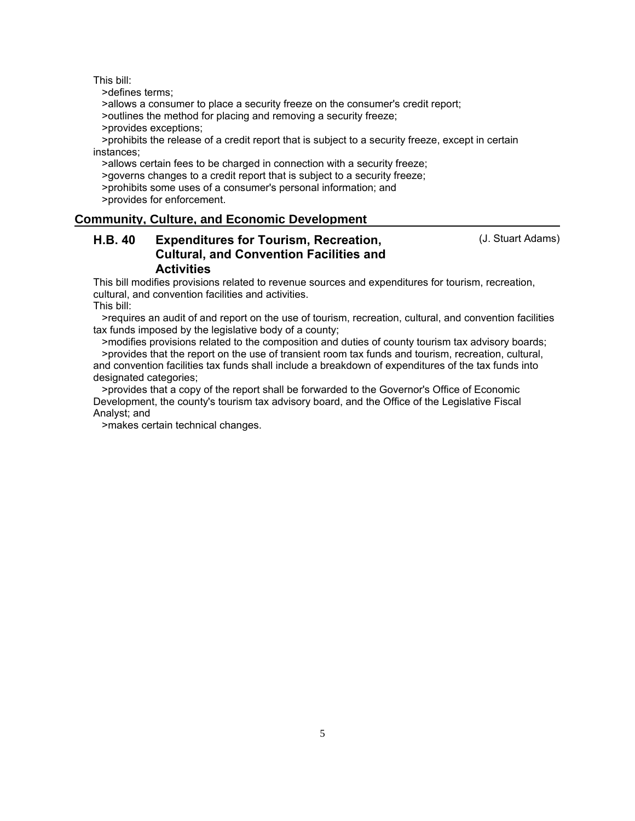>defines terms;

>allows a consumer to place a security freeze on the consumer's credit report;

>outlines the method for placing and removing a security freeze;

>provides exceptions;

 >prohibits the release of a credit report that is subject to a security freeze, except in certain instances;

>allows certain fees to be charged in connection with a security freeze;

>governs changes to a credit report that is subject to a security freeze;

>prohibits some uses of a consumer's personal information; and

>provides for enforcement.

#### **Community, Culture, and Economic Development**

#### Expenditures for Tourism, Recreation, The Control (J. Stuart Adams) Cultural, and Convention Facilities and **Activities** H.B. 40

This bill modifies provisions related to revenue sources and expenditures for tourism, recreation, cultural, and convention facilities and activities. This bill:

 >requires an audit of and report on the use of tourism, recreation, cultural, and convention facilities tax funds imposed by the legislative body of a county;

 >modifies provisions related to the composition and duties of county tourism tax advisory boards; >provides that the report on the use of transient room tax funds and tourism, recreation, cultural, and convention facilities tax funds shall include a breakdown of expenditures of the tax funds into designated categories;

 >provides that a copy of the report shall be forwarded to the Governor's Office of Economic Development, the county's tourism tax advisory board, and the Office of the Legislative Fiscal Analyst; and

>makes certain technical changes.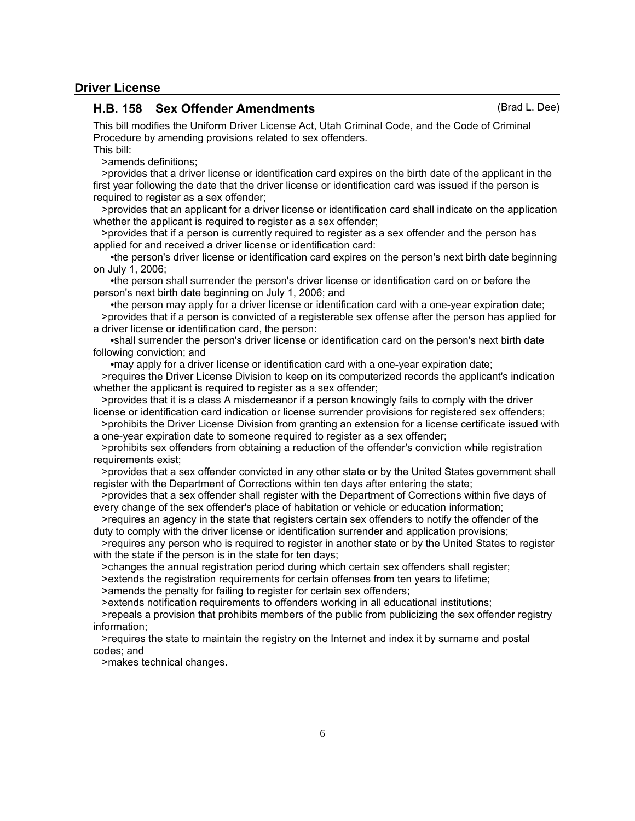#### **Driver License**

#### H.B. 158 Sex Offender Amendments (Brad L. Dee)

This bill modifies the Uniform Driver License Act, Utah Criminal Code, and the Code of Criminal Procedure by amending provisions related to sex offenders. This bill:

>amends definitions;

 >provides that a driver license or identification card expires on the birth date of the applicant in the first year following the date that the driver license or identification card was issued if the person is required to register as a sex offender;

 >provides that an applicant for a driver license or identification card shall indicate on the application whether the applicant is required to register as a sex offender;

 >provides that if a person is currently required to register as a sex offender and the person has applied for and received a driver license or identification card:

 •the person's driver license or identification card expires on the person's next birth date beginning on July 1, 2006;

 •the person shall surrender the person's driver license or identification card on or before the person's next birth date beginning on July 1, 2006; and

 •the person may apply for a driver license or identification card with a one-year expiration date; >provides that if a person is convicted of a registerable sex offense after the person has applied for a driver license or identification card, the person:

 •shall surrender the person's driver license or identification card on the person's next birth date following conviction; and

•may apply for a driver license or identification card with a one-year expiration date;

 >requires the Driver License Division to keep on its computerized records the applicant's indication whether the applicant is required to register as a sex offender;

 >provides that it is a class A misdemeanor if a person knowingly fails to comply with the driver license or identification card indication or license surrender provisions for registered sex offenders;

 >prohibits the Driver License Division from granting an extension for a license certificate issued with a one-year expiration date to someone required to register as a sex offender;

 >prohibits sex offenders from obtaining a reduction of the offender's conviction while registration requirements exist;

 >provides that a sex offender convicted in any other state or by the United States government shall register with the Department of Corrections within ten days after entering the state;

 >provides that a sex offender shall register with the Department of Corrections within five days of every change of the sex offender's place of habitation or vehicle or education information;

 >requires an agency in the state that registers certain sex offenders to notify the offender of the duty to comply with the driver license or identification surrender and application provisions;

 >requires any person who is required to register in another state or by the United States to register with the state if the person is in the state for ten days;

>changes the annual registration period during which certain sex offenders shall register;

>extends the registration requirements for certain offenses from ten years to lifetime;

>amends the penalty for failing to register for certain sex offenders;

>extends notification requirements to offenders working in all educational institutions;

 >repeals a provision that prohibits members of the public from publicizing the sex offender registry information;

 >requires the state to maintain the registry on the Internet and index it by surname and postal codes; and

>makes technical changes.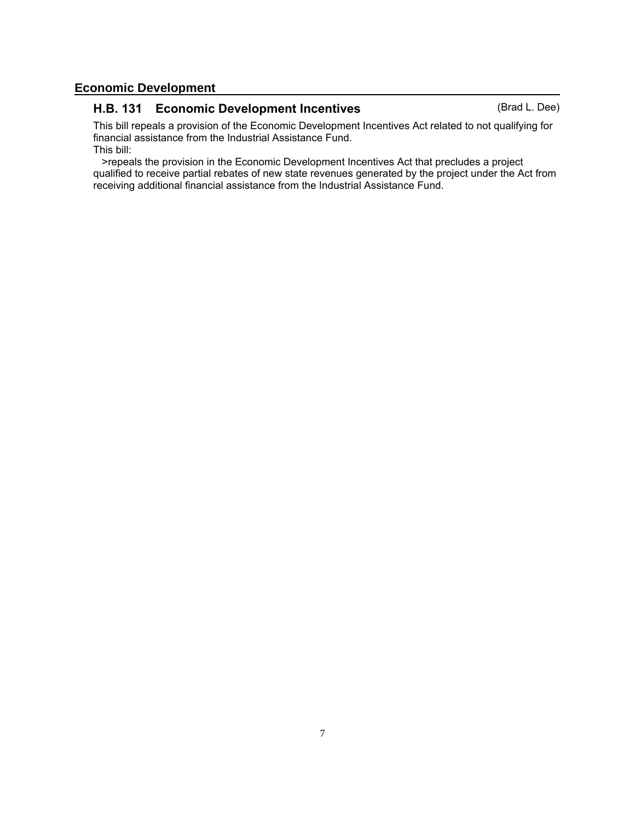## **Economic Development**

## H.B. 131 Economic Development Incentives (Brad L. Dee)

This bill repeals a provision of the Economic Development Incentives Act related to not qualifying for financial assistance from the Industrial Assistance Fund. This bill:

 >repeals the provision in the Economic Development Incentives Act that precludes a project qualified to receive partial rebates of new state revenues generated by the project under the Act from receiving additional financial assistance from the Industrial Assistance Fund.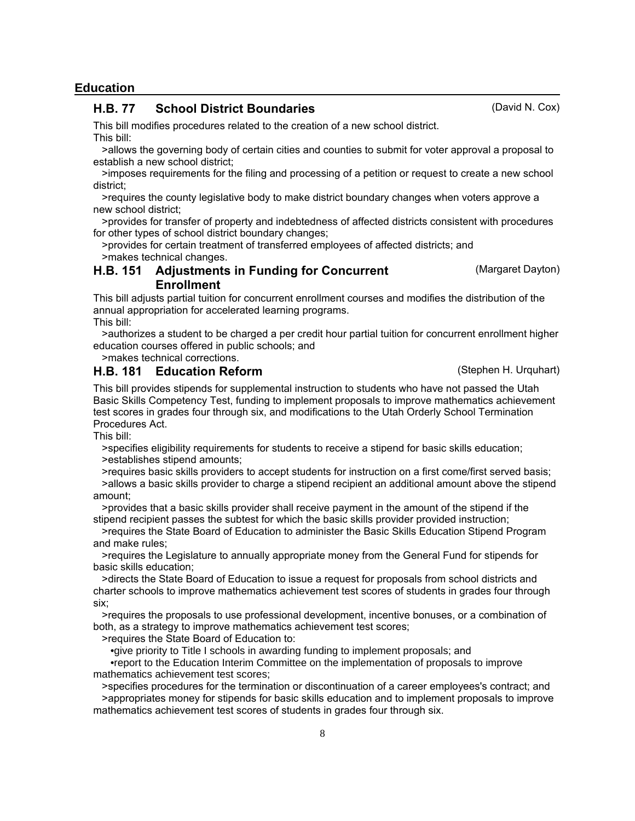#### **Education**

#### H.B. 77 School District Boundaries (David N. Cox)

This bill modifies procedures related to the creation of a new school district. This bill:

 >allows the governing body of certain cities and counties to submit for voter approval a proposal to establish a new school district;

 >imposes requirements for the filing and processing of a petition or request to create a new school district;

 >requires the county legislative body to make district boundary changes when voters approve a new school district;

 >provides for transfer of property and indebtedness of affected districts consistent with procedures for other types of school district boundary changes;

 >provides for certain treatment of transferred employees of affected districts; and >makes technical changes.

#### H.B. 151 Adjustments in Funding for Concurrent (Margaret Dayton) Enrollment

This bill adjusts partial tuition for concurrent enrollment courses and modifies the distribution of the annual appropriation for accelerated learning programs. This bill:

 >authorizes a student to be charged a per credit hour partial tuition for concurrent enrollment higher education courses offered in public schools; and

>makes technical corrections.

## H.B. 181 Education Reform **Example 20** (Stephen H. Urquhart)

This bill provides stipends for supplemental instruction to students who have not passed the Utah Basic Skills Competency Test, funding to implement proposals to improve mathematics achievement test scores in grades four through six, and modifications to the Utah Orderly School Termination Procedures Act.

This bill:

 >specifies eligibility requirements for students to receive a stipend for basic skills education; >establishes stipend amounts;

 >requires basic skills providers to accept students for instruction on a first come/first served basis; >allows a basic skills provider to charge a stipend recipient an additional amount above the stipend amount;

 >provides that a basic skills provider shall receive payment in the amount of the stipend if the stipend recipient passes the subtest for which the basic skills provider provided instruction;

 >requires the State Board of Education to administer the Basic Skills Education Stipend Program and make rules;

 >requires the Legislature to annually appropriate money from the General Fund for stipends for basic skills education;

 >directs the State Board of Education to issue a request for proposals from school districts and charter schools to improve mathematics achievement test scores of students in grades four through six;

 >requires the proposals to use professional development, incentive bonuses, or a combination of both, as a strategy to improve mathematics achievement test scores;

>requires the State Board of Education to:

 •give priority to Title I schools in awarding funding to implement proposals; and •report to the Education Interim Committee on the implementation of proposals to improve mathematics achievement test scores;

 >specifies procedures for the termination or discontinuation of a career employees's contract; and >appropriates money for stipends for basic skills education and to implement proposals to improve mathematics achievement test scores of students in grades four through six.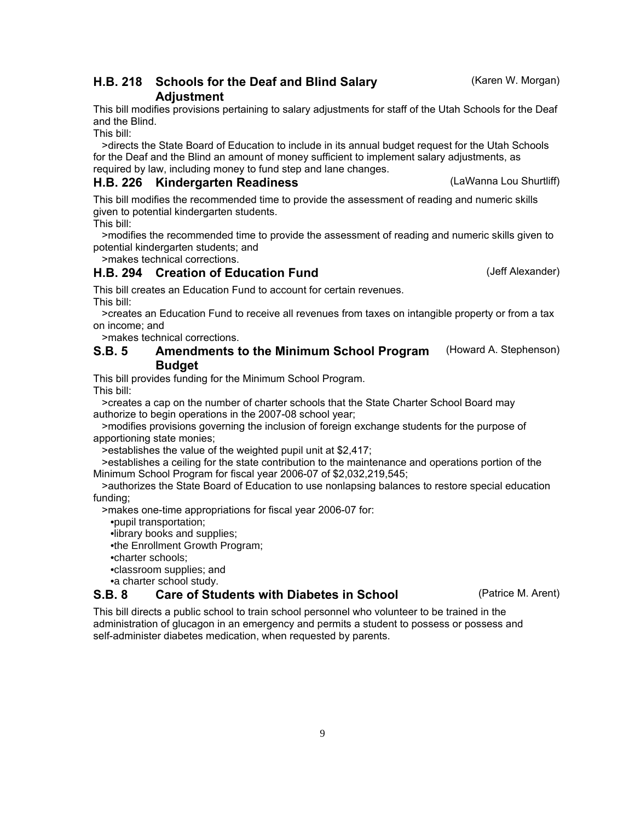## H.B. 218 Schools for the Deaf and Blind Salary **Example 218 (Karen W. Morgan)** Adjustment

This bill modifies provisions pertaining to salary adjustments for staff of the Utah Schools for the Deaf and the Blind.

This bill:

 >directs the State Board of Education to include in its annual budget request for the Utah Schools for the Deaf and the Blind an amount of money sufficient to implement salary adjustments, as required by law, including money to fund step and lane changes.

## H.B. 226 Kindergarten Readiness (LaWanna Lou Shurtliff)

This bill modifies the recommended time to provide the assessment of reading and numeric skills given to potential kindergarten students.

This bill:

 >modifies the recommended time to provide the assessment of reading and numeric skills given to potential kindergarten students; and

>makes technical corrections.

## H.B. 294 Creation of Education Fund (Jeff Alexander)

This bill creates an Education Fund to account for certain revenues. This bill:

 >creates an Education Fund to receive all revenues from taxes on intangible property or from a tax on income; and

>makes technical corrections.

#### Amendments to the Minimum School Program (Howard A. Stephenson) **Budget** S.B. 5

This bill provides funding for the Minimum School Program.

This bill:

 >creates a cap on the number of charter schools that the State Charter School Board may authorize to begin operations in the 2007-08 school year;

 >modifies provisions governing the inclusion of foreign exchange students for the purpose of apportioning state monies;

>establishes the value of the weighted pupil unit at \$2,417;

 >establishes a ceiling for the state contribution to the maintenance and operations portion of the Minimum School Program for fiscal year 2006-07 of \$2,032,219,545;

 >authorizes the State Board of Education to use nonlapsing balances to restore special education funding;

>makes one-time appropriations for fiscal year 2006-07 for:

•pupil transportation;

•library books and supplies;

•the Enrollment Growth Program;

•charter schools;

•classroom supplies; and

•a charter school study.

## S.B. 8 Care of Students with Diabetes in School (Patrice M. Arent)

This bill directs a public school to train school personnel who volunteer to be trained in the administration of glucagon in an emergency and permits a student to possess or possess and self-administer diabetes medication, when requested by parents.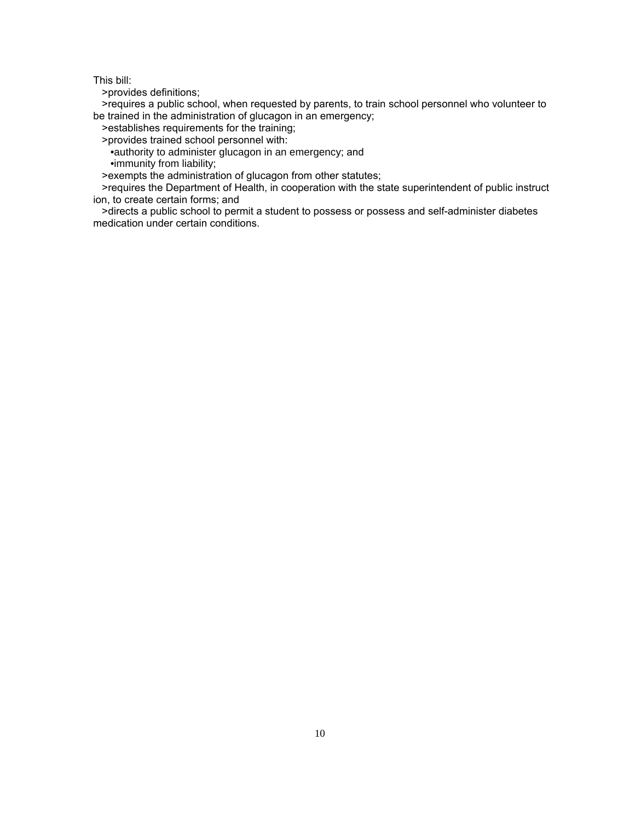>provides definitions;

 >requires a public school, when requested by parents, to train school personnel who volunteer to be trained in the administration of glucagon in an emergency;

>establishes requirements for the training;

>provides trained school personnel with:

 •authority to administer glucagon in an emergency; and •immunity from liability;

>exempts the administration of glucagon from other statutes;

 >requires the Department of Health, in cooperation with the state superintendent of public instruct ion, to create certain forms; and

 >directs a public school to permit a student to possess or possess and self-administer diabetes medication under certain conditions.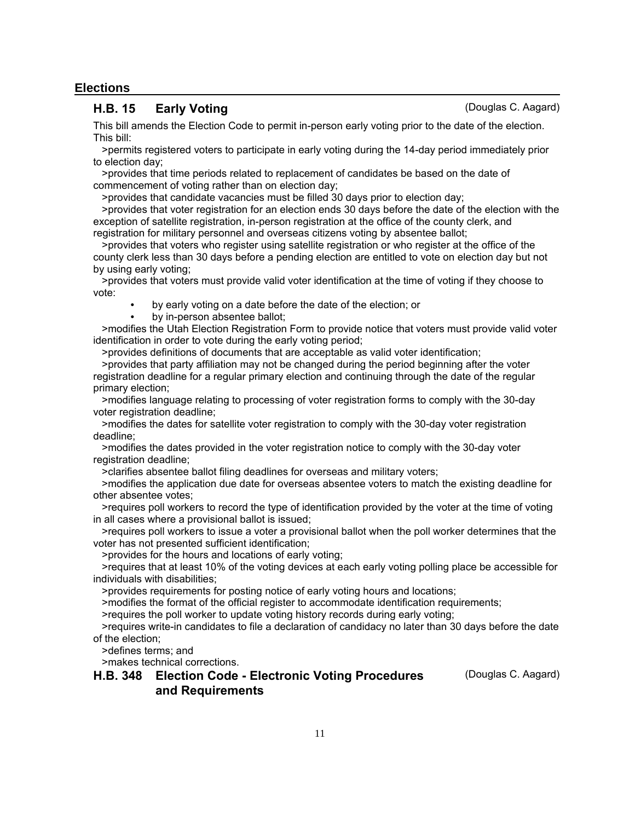#### **Elections**

### H.B. 15 Early Voting Carrier Controller Controller C. Aagard)

This bill amends the Election Code to permit in-person early voting prior to the date of the election. This bill:

 >permits registered voters to participate in early voting during the 14-day period immediately prior to election day;

 >provides that time periods related to replacement of candidates be based on the date of commencement of voting rather than on election day;

>provides that candidate vacancies must be filled 30 days prior to election day;

 >provides that voter registration for an election ends 30 days before the date of the election with the exception of satellite registration, in-person registration at the office of the county clerk, and registration for military personnel and overseas citizens voting by absentee ballot;

 >provides that voters who register using satellite registration or who register at the office of the county clerk less than 30 days before a pending election are entitled to vote on election day but not by using early voting;

 >provides that voters must provide valid voter identification at the time of voting if they choose to vote:

- by early voting on a date before the date of the election; or
- by in-person absentee ballot;

 >modifies the Utah Election Registration Form to provide notice that voters must provide valid voter identification in order to vote during the early voting period;

>provides definitions of documents that are acceptable as valid voter identification;

 >provides that party affiliation may not be changed during the period beginning after the voter registration deadline for a regular primary election and continuing through the date of the regular primary election;

 >modifies language relating to processing of voter registration forms to comply with the 30-day voter registration deadline;

 >modifies the dates for satellite voter registration to comply with the 30-day voter registration deadline;

 >modifies the dates provided in the voter registration notice to comply with the 30-day voter registration deadline;

>clarifies absentee ballot filing deadlines for overseas and military voters;

 >modifies the application due date for overseas absentee voters to match the existing deadline for other absentee votes;

 >requires poll workers to record the type of identification provided by the voter at the time of voting in all cases where a provisional ballot is issued;

 >requires poll workers to issue a voter a provisional ballot when the poll worker determines that the voter has not presented sufficient identification;

>provides for the hours and locations of early voting;

 >requires that at least 10% of the voting devices at each early voting polling place be accessible for individuals with disabilities;

>provides requirements for posting notice of early voting hours and locations;

>modifies the format of the official register to accommodate identification requirements;

>requires the poll worker to update voting history records during early voting;

 >requires write-in candidates to file a declaration of candidacy no later than 30 days before the date of the election;

>defines terms; and

>makes technical corrections.

### H.B. 348 Election Code - Electronic Voting Procedures (Douglas C. Aagard) and Requirements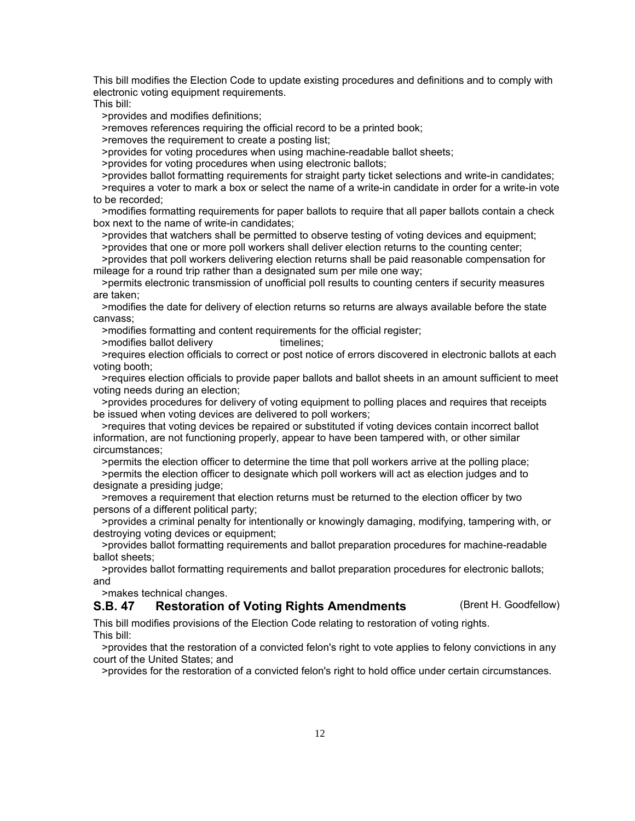This bill modifies the Election Code to update existing procedures and definitions and to comply with electronic voting equipment requirements.

This bill:

>provides and modifies definitions;

>removes references requiring the official record to be a printed book;

>removes the requirement to create a posting list;

>provides for voting procedures when using machine-readable ballot sheets;

>provides for voting procedures when using electronic ballots;

 >provides ballot formatting requirements for straight party ticket selections and write-in candidates; >requires a voter to mark a box or select the name of a write-in candidate in order for a write-in vote to be recorded;

 >modifies formatting requirements for paper ballots to require that all paper ballots contain a check box next to the name of write-in candidates;

>provides that watchers shall be permitted to observe testing of voting devices and equipment;

>provides that one or more poll workers shall deliver election returns to the counting center;

 >provides that poll workers delivering election returns shall be paid reasonable compensation for mileage for a round trip rather than a designated sum per mile one way;

 >permits electronic transmission of unofficial poll results to counting centers if security measures are taken;

 >modifies the date for delivery of election returns so returns are always available before the state canvass;

>modifies formatting and content requirements for the official register;

>modifies ballot delivery timelines;

 >requires election officials to correct or post notice of errors discovered in electronic ballots at each voting booth;

 >requires election officials to provide paper ballots and ballot sheets in an amount sufficient to meet voting needs during an election;

 >provides procedures for delivery of voting equipment to polling places and requires that receipts be issued when voting devices are delivered to poll workers;

 >requires that voting devices be repaired or substituted if voting devices contain incorrect ballot information, are not functioning properly, appear to have been tampered with, or other similar circumstances;

 >permits the election officer to determine the time that poll workers arrive at the polling place; >permits the election officer to designate which poll workers will act as election judges and to designate a presiding judge;

 >removes a requirement that election returns must be returned to the election officer by two persons of a different political party;

 >provides a criminal penalty for intentionally or knowingly damaging, modifying, tampering with, or destroying voting devices or equipment;

 >provides ballot formatting requirements and ballot preparation procedures for machine-readable ballot sheets;

 >provides ballot formatting requirements and ballot preparation procedures for electronic ballots; and

>makes technical changes.

### S.B. 47 Restoration of Voting Rights Amendments (Brent H. Goodfellow)

This bill modifies provisions of the Election Code relating to restoration of voting rights. This bill:

 >provides that the restoration of a convicted felon's right to vote applies to felony convictions in any court of the United States; and

>provides for the restoration of a convicted felon's right to hold office under certain circumstances.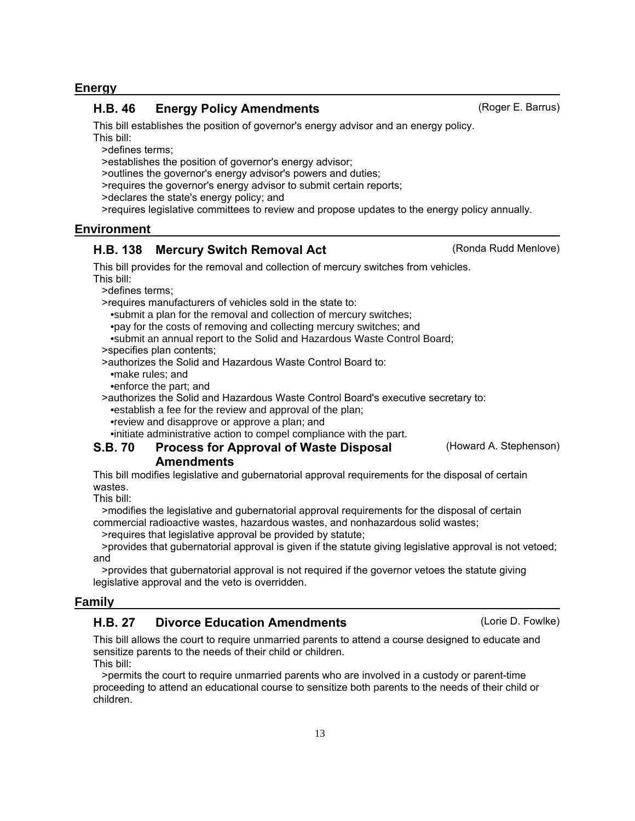#### **Energy**

#### H.B. 46 Energy Policy Amendments (Roger E. Barrus)

This bill establishes the position of governor's energy advisor and an energy policy.

This bill:

>defines terms;

>establishes the position of governor's energy advisor;

>outlines the governor's energy advisor's powers and duties;

>requires the governor's energy advisor to submit certain reports;

>declares the state's energy policy; and

>requires legislative committees to review and propose updates to the energy policy annually.

### **Environment**

## H.B. 138 Mercury Switch Removal Act (Ronda Rudd Menlove)

This bill provides for the removal and collection of mercury switches from vehicles. This bill:

>defines terms;

>requires manufacturers of vehicles sold in the state to:

•submit a plan for the removal and collection of mercury switches;

•pay for the costs of removing and collecting mercury switches; and

•submit an annual report to the Solid and Hazardous Waste Control Board;

>specifies plan contents;

>authorizes the Solid and Hazardous Waste Control Board to:

•make rules; and

•enforce the part; and

>authorizes the Solid and Hazardous Waste Control Board's executive secretary to:

•establish a fee for the review and approval of the plan;

•review and disapprove or approve a plan; and

•initiate administrative action to compel compliance with the part.

#### Process for Approval of Waste Disposal (Howard A. Stephenson) S.B. 70

### Amendments

This bill modifies legislative and gubernatorial approval requirements for the disposal of certain wastes.

This bill:

 >modifies the legislative and gubernatorial approval requirements for the disposal of certain commercial radioactive wastes, hazardous wastes, and nonhazardous solid wastes;

>requires that legislative approval be provided by statute;

 >provides that gubernatorial approval is given if the statute giving legislative approval is not vetoed; and

 >provides that gubernatorial approval is not required if the governor vetoes the statute giving legislative approval and the veto is overridden.

### **Family**

## H.B. 27 Divorce Education Amendments (Lorie D. Fowlke)

This bill allows the court to require unmarried parents to attend a course designed to educate and sensitize parents to the needs of their child or children.

This bill:

 >permits the court to require unmarried parents who are involved in a custody or parent-time proceeding to attend an educational course to sensitize both parents to the needs of their child or children.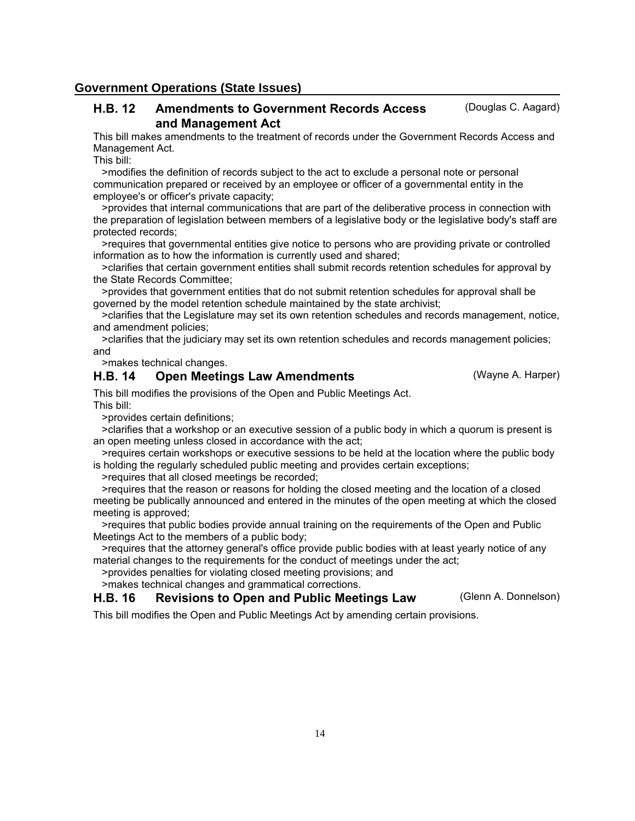#### **Government Operations (State Issues)**

#### Amendments to Government Records Access (Douglas C. Aagard) and Management Act H.B. 12

This bill makes amendments to the treatment of records under the Government Records Access and Management Act.

This bill:

 >modifies the definition of records subject to the act to exclude a personal note or personal communication prepared or received by an employee or officer of a governmental entity in the employee's or officer's private capacity;

 >provides that internal communications that are part of the deliberative process in connection with the preparation of legislation between members of a legislative body or the legislative body's staff are protected records;

 >requires that governmental entities give notice to persons who are providing private or controlled information as to how the information is currently used and shared;

 >clarifies that certain government entities shall submit records retention schedules for approval by the State Records Committee;

 >provides that government entities that do not submit retention schedules for approval shall be governed by the model retention schedule maintained by the state archivist;

 >clarifies that the Legislature may set its own retention schedules and records management, notice, and amendment policies;

 >clarifies that the judiciary may set its own retention schedules and records management policies; and

>makes technical changes.

## H.B. 14 Open Meetings Law Amendments (Wayne A. Harper)

This bill modifies the provisions of the Open and Public Meetings Act.

This bill:

>provides certain definitions;

 >clarifies that a workshop or an executive session of a public body in which a quorum is present is an open meeting unless closed in accordance with the act;

 >requires certain workshops or executive sessions to be held at the location where the public body is holding the regularly scheduled public meeting and provides certain exceptions;

>requires that all closed meetings be recorded;

 >requires that the reason or reasons for holding the closed meeting and the location of a closed meeting be publically announced and entered in the minutes of the open meeting at which the closed meeting is approved;

 >requires that public bodies provide annual training on the requirements of the Open and Public Meetings Act to the members of a public body;

 >requires that the attorney general's office provide public bodies with at least yearly notice of any material changes to the requirements for the conduct of meetings under the act;

>provides penalties for violating closed meeting provisions; and

>makes technical changes and grammatical corrections.

#### H.B. 16 Revisions to Open and Public Meetings Law (Glenn A. Donnelson)

This bill modifies the Open and Public Meetings Act by amending certain provisions.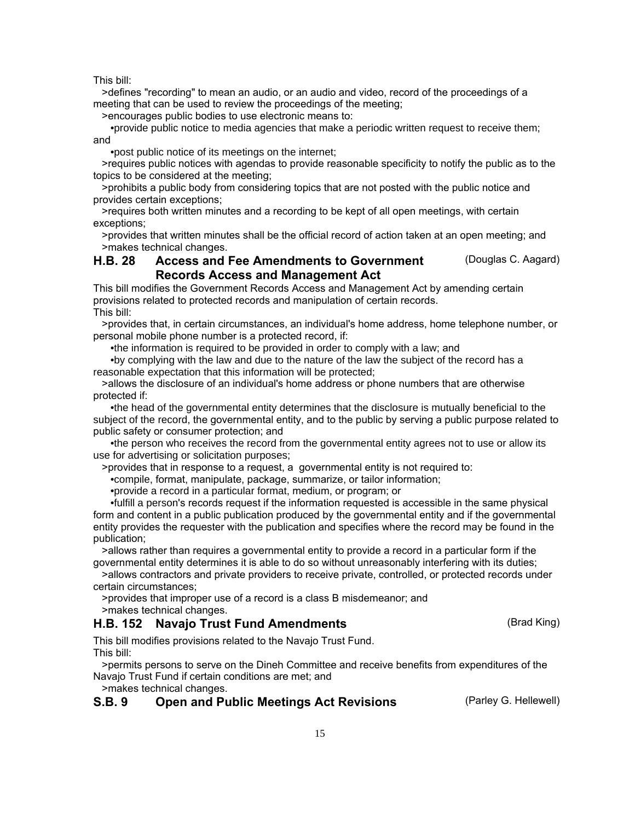>defines "recording" to mean an audio, or an audio and video, record of the proceedings of a meeting that can be used to review the proceedings of the meeting;

>encourages public bodies to use electronic means to:

 •provide public notice to media agencies that make a periodic written request to receive them; and

•post public notice of its meetings on the internet;

 >requires public notices with agendas to provide reasonable specificity to notify the public as to the topics to be considered at the meeting;

 >prohibits a public body from considering topics that are not posted with the public notice and provides certain exceptions;

 >requires both written minutes and a recording to be kept of all open meetings, with certain exceptions;

 >provides that written minutes shall be the official record of action taken at an open meeting; and >makes technical changes.

#### Access and Fee Amendments to Government (Douglas C. Aagard) Records Access and Management Act H.B. 28

This bill modifies the Government Records Access and Management Act by amending certain provisions related to protected records and manipulation of certain records. This bill:

 >provides that, in certain circumstances, an individual's home address, home telephone number, or personal mobile phone number is a protected record, if:

•the information is required to be provided in order to comply with a law; and

 •by complying with the law and due to the nature of the law the subject of the record has a reasonable expectation that this information will be protected;

 >allows the disclosure of an individual's home address or phone numbers that are otherwise protected if:

 •the head of the governmental entity determines that the disclosure is mutually beneficial to the subject of the record, the governmental entity, and to the public by serving a public purpose related to public safety or consumer protection; and

 •the person who receives the record from the governmental entity agrees not to use or allow its use for advertising or solicitation purposes;

>provides that in response to a request, a governmental entity is not required to:

•compile, format, manipulate, package, summarize, or tailor information;

•provide a record in a particular format, medium, or program; or

 •fulfill a person's records request if the information requested is accessible in the same physical form and content in a public publication produced by the governmental entity and if the governmental entity provides the requester with the publication and specifies where the record may be found in the publication;

 >allows rather than requires a governmental entity to provide a record in a particular form if the governmental entity determines it is able to do so without unreasonably interfering with its duties;

 >allows contractors and private providers to receive private, controlled, or protected records under certain circumstances;

>provides that improper use of a record is a class B misdemeanor; and

>makes technical changes.

## H.B. 152 Navajo Trust Fund Amendments (Brad King)

This bill modifies provisions related to the Navajo Trust Fund. This bill:

 >permits persons to serve on the Dineh Committee and receive benefits from expenditures of the Navajo Trust Fund if certain conditions are met; and

>makes technical changes.

## S.B. 9 Open and Public Meetings Act Revisions (Parley G. Hellewell)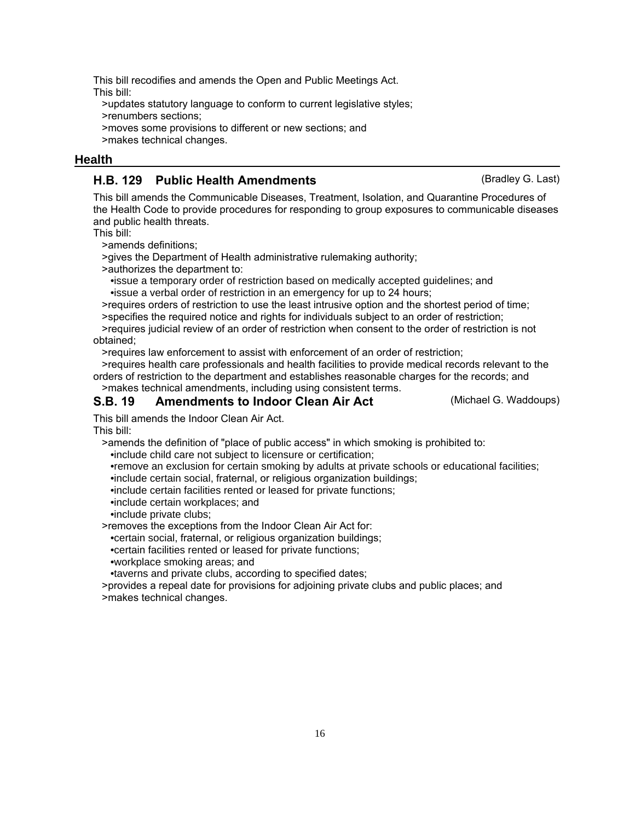This bill recodifies and amends the Open and Public Meetings Act. This bill:

 >updates statutory language to conform to current legislative styles; >renumbers sections; >moves some provisions to different or new sections; and >makes technical changes.

#### **Health**

#### H.B. 129 Public Health Amendments (Bradley G. Last)

This bill amends the Communicable Diseases, Treatment, Isolation, and Quarantine Procedures of the Health Code to provide procedures for responding to group exposures to communicable diseases and public health threats.

This bill:

>amends definitions;

>gives the Department of Health administrative rulemaking authority;

>authorizes the department to:

 •issue a temporary order of restriction based on medically accepted guidelines; and •issue a verbal order of restriction in an emergency for up to 24 hours;

>requires orders of restriction to use the least intrusive option and the shortest period of time;

 >specifies the required notice and rights for individuals subject to an order of restriction; >requires judicial review of an order of restriction when consent to the order of restriction is not

obtained;

>requires law enforcement to assist with enforcement of an order of restriction;

 >requires health care professionals and health facilities to provide medical records relevant to the orders of restriction to the department and establishes reasonable charges for the records; and >makes technical amendments, including using consistent terms.

S.B. 19 Amendments to Indoor Clean Air Act (Michael G. Waddoups)

This bill amends the Indoor Clean Air Act.

This bill:

>amends the definition of "place of public access" in which smoking is prohibited to:

•include child care not subject to licensure or certification;

•remove an exclusion for certain smoking by adults at private schools or educational facilities;

•include certain social, fraternal, or religious organization buildings;

•include certain facilities rented or leased for private functions;

•include certain workplaces; and

•include private clubs;

>removes the exceptions from the Indoor Clean Air Act for:

•certain social, fraternal, or religious organization buildings;

•certain facilities rented or leased for private functions;

•workplace smoking areas; and

•taverns and private clubs, according to specified dates;

 >provides a repeal date for provisions for adjoining private clubs and public places; and >makes technical changes.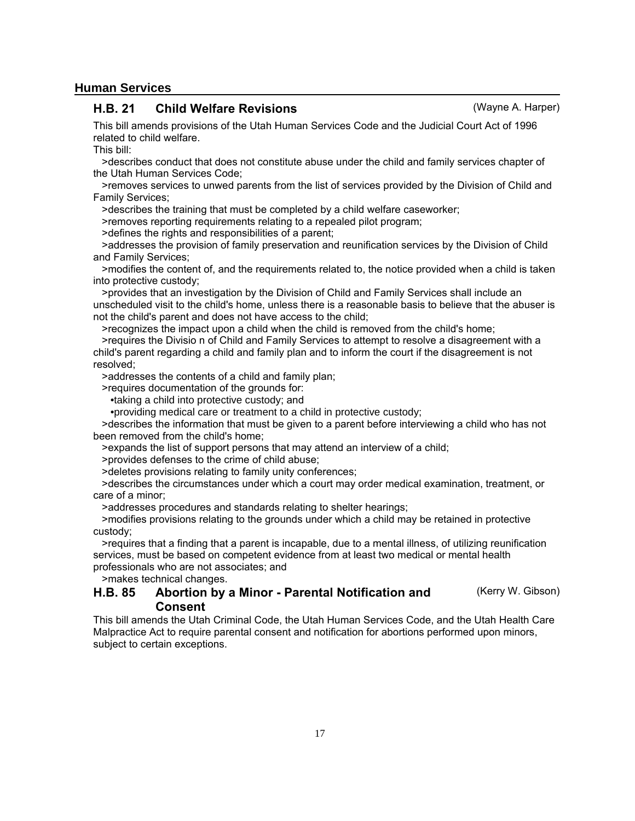#### **Human Services**

#### H.B. 21 Child Welfare Revisions (Wayne A. Harper)

This bill amends provisions of the Utah Human Services Code and the Judicial Court Act of 1996 related to child welfare.

This bill:

 >describes conduct that does not constitute abuse under the child and family services chapter of the Utah Human Services Code;

 >removes services to unwed parents from the list of services provided by the Division of Child and Family Services;

>describes the training that must be completed by a child welfare caseworker;

>removes reporting requirements relating to a repealed pilot program;

>defines the rights and responsibilities of a parent;

 >addresses the provision of family preservation and reunification services by the Division of Child and Family Services;

 >modifies the content of, and the requirements related to, the notice provided when a child is taken into protective custody;

 >provides that an investigation by the Division of Child and Family Services shall include an unscheduled visit to the child's home, unless there is a reasonable basis to believe that the abuser is not the child's parent and does not have access to the child;

>recognizes the impact upon a child when the child is removed from the child's home;

 >requires the Divisio n of Child and Family Services to attempt to resolve a disagreement with a child's parent regarding a child and family plan and to inform the court if the disagreement is not resolved;

>addresses the contents of a child and family plan;

>requires documentation of the grounds for:

•taking a child into protective custody; and

•providing medical care or treatment to a child in protective custody;

 >describes the information that must be given to a parent before interviewing a child who has not been removed from the child's home;

>expands the list of support persons that may attend an interview of a child;

>provides defenses to the crime of child abuse;

>deletes provisions relating to family unity conferences;

 >describes the circumstances under which a court may order medical examination, treatment, or care of a minor;

>addresses procedures and standards relating to shelter hearings;

 >modifies provisions relating to the grounds under which a child may be retained in protective custody;

 >requires that a finding that a parent is incapable, due to a mental illness, of utilizing reunification services, must be based on competent evidence from at least two medical or mental health professionals who are not associates; and

>makes technical changes.

#### Abortion by a Minor - Parental Notification and (Kerry W. Gibson) Consent H.B. 85

This bill amends the Utah Criminal Code, the Utah Human Services Code, and the Utah Health Care Malpractice Act to require parental consent and notification for abortions performed upon minors, subject to certain exceptions.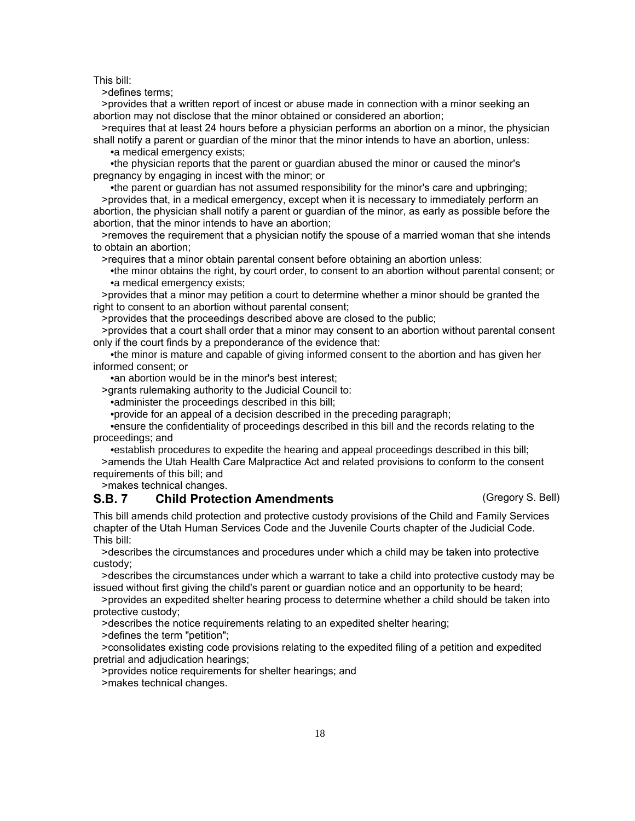>defines terms;

 >provides that a written report of incest or abuse made in connection with a minor seeking an abortion may not disclose that the minor obtained or considered an abortion;

 >requires that at least 24 hours before a physician performs an abortion on a minor, the physician shall notify a parent or guardian of the minor that the minor intends to have an abortion, unless: •a medical emergency exists;

 •the physician reports that the parent or guardian abused the minor or caused the minor's pregnancy by engaging in incest with the minor; or

 •the parent or guardian has not assumed responsibility for the minor's care and upbringing; >provides that, in a medical emergency, except when it is necessary to immediately perform an abortion, the physician shall notify a parent or guardian of the minor, as early as possible before the abortion, that the minor intends to have an abortion;

 >removes the requirement that a physician notify the spouse of a married woman that she intends to obtain an abortion;

>requires that a minor obtain parental consent before obtaining an abortion unless:

 •the minor obtains the right, by court order, to consent to an abortion without parental consent; or •a medical emergency exists;

 >provides that a minor may petition a court to determine whether a minor should be granted the right to consent to an abortion without parental consent;

>provides that the proceedings described above are closed to the public;

 >provides that a court shall order that a minor may consent to an abortion without parental consent only if the court finds by a preponderance of the evidence that:

 •the minor is mature and capable of giving informed consent to the abortion and has given her informed consent; or

•an abortion would be in the minor's best interest;

>grants rulemaking authority to the Judicial Council to:

•administer the proceedings described in this bill;

•provide for an appeal of a decision described in the preceding paragraph;

 •ensure the confidentiality of proceedings described in this bill and the records relating to the proceedings; and

 •establish procedures to expedite the hearing and appeal proceedings described in this bill; >amends the Utah Health Care Malpractice Act and related provisions to conform to the consent requirements of this bill; and

>makes technical changes.

## S.B. 7 Child Protection Amendments (Gregory S. Bell)

This bill amends child protection and protective custody provisions of the Child and Family Services chapter of the Utah Human Services Code and the Juvenile Courts chapter of the Judicial Code. This bill:

 >describes the circumstances and procedures under which a child may be taken into protective custody;

 >describes the circumstances under which a warrant to take a child into protective custody may be issued without first giving the child's parent or guardian notice and an opportunity to be heard;

 >provides an expedited shelter hearing process to determine whether a child should be taken into protective custody;

>describes the notice requirements relating to an expedited shelter hearing;

>defines the term "petition";

 >consolidates existing code provisions relating to the expedited filing of a petition and expedited pretrial and adjudication hearings;

>provides notice requirements for shelter hearings; and

>makes technical changes.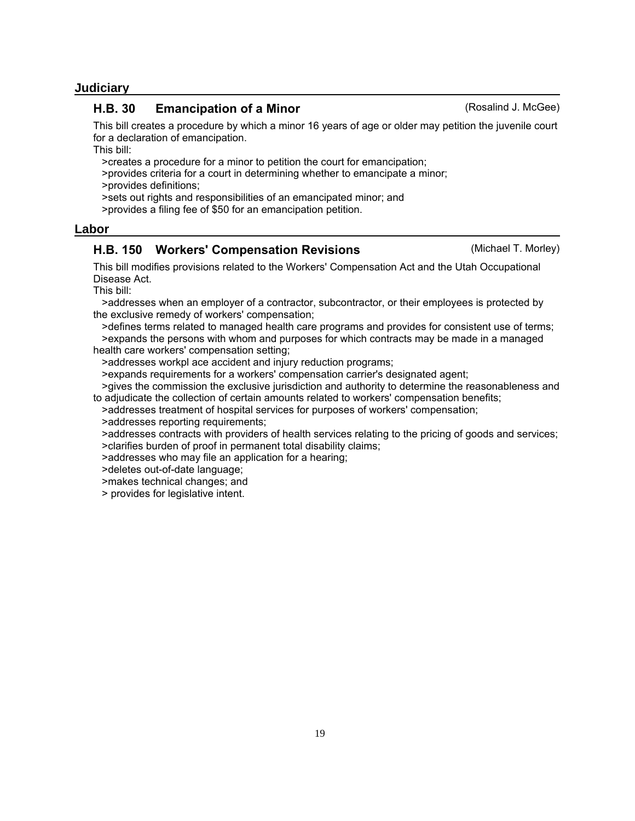#### 19

## **Judiciary**

#### H.B. 30 Emancipation of a Minor Changel Controllery (Rosalind J. McGee)

This bill creates a procedure by which a minor 16 years of age or older may petition the juvenile court for a declaration of emancipation.

This bill:

>creates a procedure for a minor to petition the court for emancipation;

 >provides criteria for a court in determining whether to emancipate a minor; >provides definitions;

>sets out rights and responsibilities of an emancipated minor; and

>provides a filing fee of \$50 for an emancipation petition.

#### **Labor**

#### H.B. 150 Workers' Compensation Revisions **Example 20** (Michael T. Morley)

This bill modifies provisions related to the Workers' Compensation Act and the Utah Occupational Disease Act.

This bill:

 >addresses when an employer of a contractor, subcontractor, or their employees is protected by the exclusive remedy of workers' compensation;

 >defines terms related to managed health care programs and provides for consistent use of terms; >expands the persons with whom and purposes for which contracts may be made in a managed health care workers' compensation setting;

>addresses workpl ace accident and injury reduction programs;

>expands requirements for a workers' compensation carrier's designated agent;

 >gives the commission the exclusive jurisdiction and authority to determine the reasonableness and to adjudicate the collection of certain amounts related to workers' compensation benefits;

>addresses treatment of hospital services for purposes of workers' compensation;

>addresses reporting requirements;

>addresses contracts with providers of health services relating to the pricing of goods and services;

>clarifies burden of proof in permanent total disability claims;

>addresses who may file an application for a hearing;

>deletes out-of-date language;

>makes technical changes; and

> provides for legislative intent.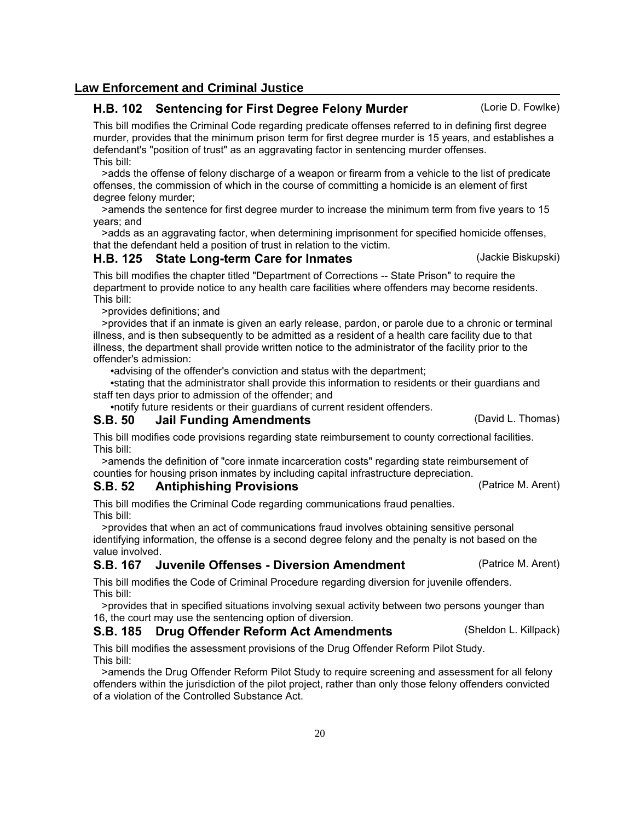## **Law Enforcement and Criminal Justice**

## H.B. 102 Sentencing for First Degree Felony Murder (Lorie D. Fowlke)

This bill modifies the Criminal Code regarding predicate offenses referred to in defining first degree murder, provides that the minimum prison term for first degree murder is 15 years, and establishes a defendant's "position of trust" as an aggravating factor in sentencing murder offenses. This bill:

 >adds the offense of felony discharge of a weapon or firearm from a vehicle to the list of predicate offenses, the commission of which in the course of committing a homicide is an element of first degree felony murder;

 >amends the sentence for first degree murder to increase the minimum term from five years to 15 years; and

 >adds as an aggravating factor, when determining imprisonment for specified homicide offenses, that the defendant held a position of trust in relation to the victim.

### H.B. 125 State Long-term Care for Inmates (Jackie Biskupski)

This bill modifies the chapter titled "Department of Corrections -- State Prison" to require the department to provide notice to any health care facilities where offenders may become residents. This bill:

>provides definitions; and

 >provides that if an inmate is given an early release, pardon, or parole due to a chronic or terminal illness, and is then subsequently to be admitted as a resident of a health care facility due to that illness, the department shall provide written notice to the administrator of the facility prior to the offender's admission:

•advising of the offender's conviction and status with the department;

 •stating that the administrator shall provide this information to residents or their guardians and staff ten days prior to admission of the offender; and

•notify future residents or their guardians of current resident offenders.

### S.B. 50 Jail Funding Amendments (David L. Thomas)

This bill modifies code provisions regarding state reimbursement to county correctional facilities. This bill:

 >amends the definition of "core inmate incarceration costs" regarding state reimbursement of counties for housing prison inmates by including capital infrastructure depreciation.

### S.B. 52 Antiphishing Provisions (Patrice M. Arent)

This bill modifies the Criminal Code regarding communications fraud penalties. This bill:

 >provides that when an act of communications fraud involves obtaining sensitive personal identifying information, the offense is a second degree felony and the penalty is not based on the value involved.

## S.B. 167 Juvenile Offenses - Diversion Amendment (Patrice M. Arent)

This bill modifies the Code of Criminal Procedure regarding diversion for juvenile offenders. This bill:

 >provides that in specified situations involving sexual activity between two persons younger than 16, the court may use the sentencing option of diversion.

### S.B. 185 Drug Offender Reform Act Amendments (Sheldon L. Killpack)

This bill modifies the assessment provisions of the Drug Offender Reform Pilot Study. This bill:

 >amends the Drug Offender Reform Pilot Study to require screening and assessment for all felony offenders within the jurisdiction of the pilot project, rather than only those felony offenders convicted of a violation of the Controlled Substance Act.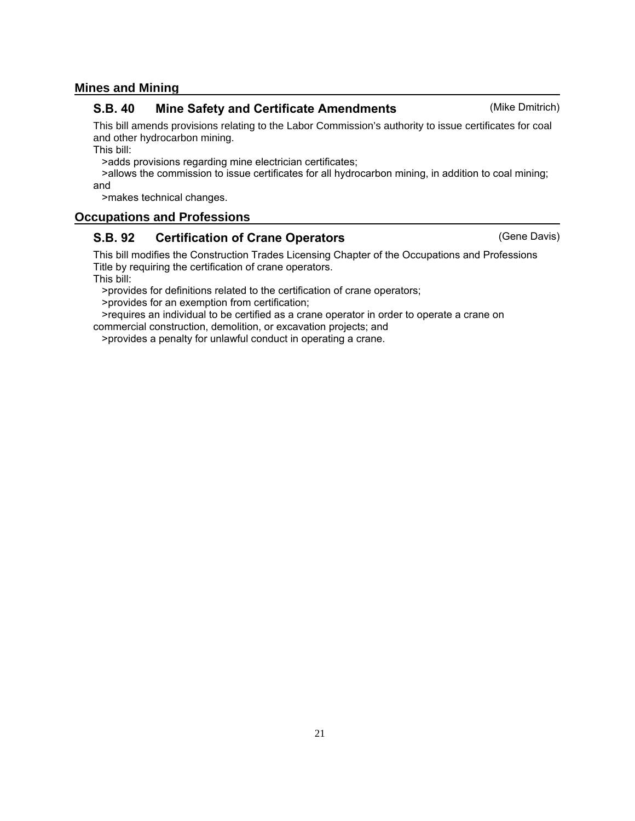## **Mines and Mining**

### S.B. 40 Mine Safety and Certificate Amendments (Mike Dmitrich)

This bill amends provisions relating to the Labor Commission's authority to issue certificates for coal and other hydrocarbon mining.

This bill:

>adds provisions regarding mine electrician certificates;

 >allows the commission to issue certificates for all hydrocarbon mining, in addition to coal mining; and

>makes technical changes.

## **Occupations and Professions**

## S.B. 92 Certification of Crane Operators **Example 20 CERC CRANGES** (Gene Davis)

This bill modifies the Construction Trades Licensing Chapter of the Occupations and Professions Title by requiring the certification of crane operators.

This bill:

>provides for definitions related to the certification of crane operators;

>provides for an exemption from certification;

 >requires an individual to be certified as a crane operator in order to operate a crane on commercial construction, demolition, or excavation projects; and

>provides a penalty for unlawful conduct in operating a crane.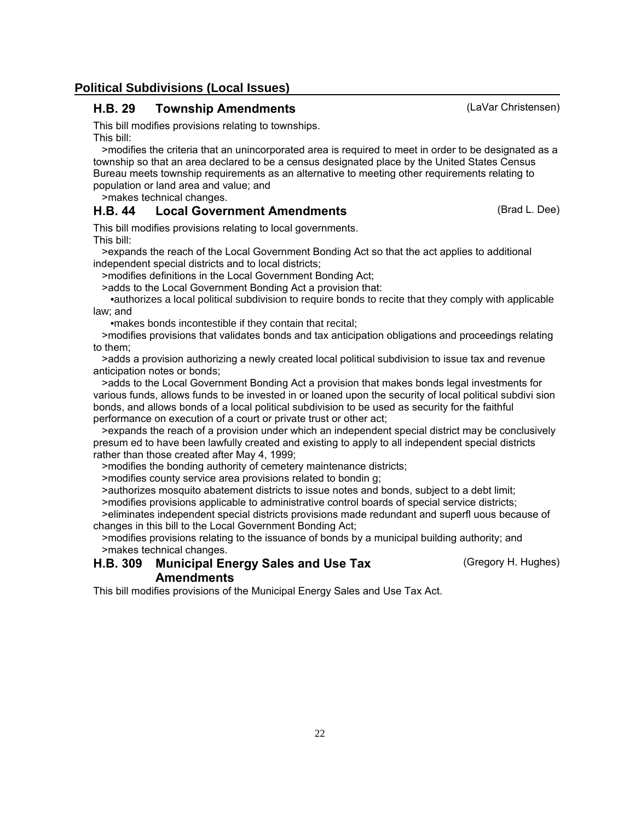## **Political Subdivisions (Local Issues)**

## H.B. 29 Township Amendments (LaVar Christensen)

This bill modifies provisions relating to townships. This bill:

 >modifies the criteria that an unincorporated area is required to meet in order to be designated as a township so that an area declared to be a census designated place by the United States Census Bureau meets township requirements as an alternative to meeting other requirements relating to population or land area and value; and

>makes technical changes.

## H.B. 44 Local Government Amendments (Brad L. Dee)

This bill modifies provisions relating to local governments. This bill:

 >expands the reach of the Local Government Bonding Act so that the act applies to additional independent special districts and to local districts;

>modifies definitions in the Local Government Bonding Act;

>adds to the Local Government Bonding Act a provision that:

 •authorizes a local political subdivision to require bonds to recite that they comply with applicable law; and

•makes bonds incontestible if they contain that recital;

 >modifies provisions that validates bonds and tax anticipation obligations and proceedings relating to them;

 >adds a provision authorizing a newly created local political subdivision to issue tax and revenue anticipation notes or bonds;

 >adds to the Local Government Bonding Act a provision that makes bonds legal investments for various funds, allows funds to be invested in or loaned upon the security of local political subdivi sion bonds, and allows bonds of a local political subdivision to be used as security for the faithful performance on execution of a court or private trust or other act;

 >expands the reach of a provision under which an independent special district may be conclusively presum ed to have been lawfully created and existing to apply to all independent special districts rather than those created after May 4, 1999;

>modifies the bonding authority of cemetery maintenance districts;

>modifies county service area provisions related to bondin g;

>authorizes mosquito abatement districts to issue notes and bonds, subject to a debt limit;

>modifies provisions applicable to administrative control boards of special service districts;

 >eliminates independent special districts provisions made redundant and superfl uous because of changes in this bill to the Local Government Bonding Act;

 >modifies provisions relating to the issuance of bonds by a municipal building authority; and >makes technical changes.

#### **Municipal Energy Sales and Use Tax** (Gregory H. Hughes) **Amendments** H.B. 309

This bill modifies provisions of the Municipal Energy Sales and Use Tax Act.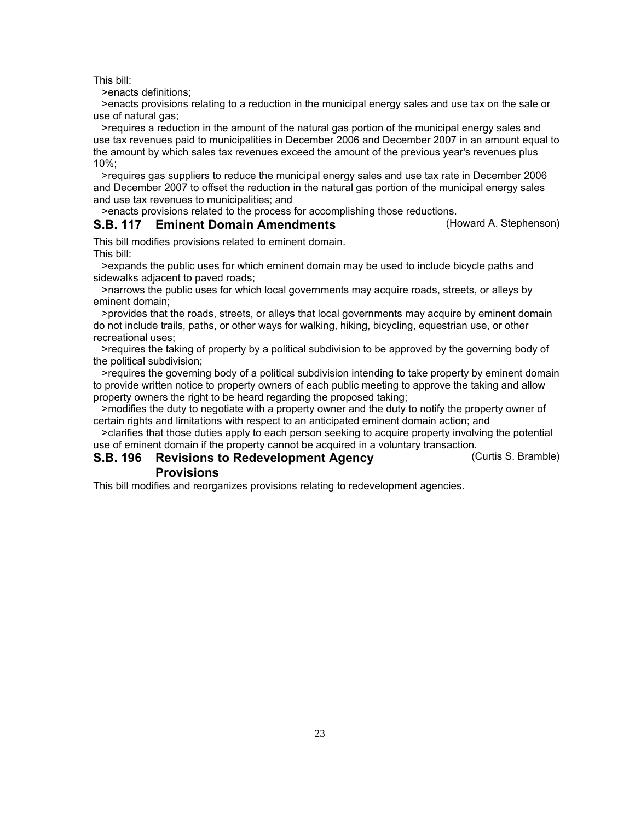>enacts definitions;

 >enacts provisions relating to a reduction in the municipal energy sales and use tax on the sale or use of natural gas;

 >requires a reduction in the amount of the natural gas portion of the municipal energy sales and use tax revenues paid to municipalities in December 2006 and December 2007 in an amount equal to the amount by which sales tax revenues exceed the amount of the previous year's revenues plus 10%;

 >requires gas suppliers to reduce the municipal energy sales and use tax rate in December 2006 and December 2007 to offset the reduction in the natural gas portion of the municipal energy sales and use tax revenues to municipalities; and

>enacts provisions related to the process for accomplishing those reductions.

## S.B. 117 Eminent Domain Amendments (Howard A. Stephenson)

This bill modifies provisions related to eminent domain. This bill:

 >expands the public uses for which eminent domain may be used to include bicycle paths and sidewalks adjacent to paved roads;

 >narrows the public uses for which local governments may acquire roads, streets, or alleys by eminent domain;

 >provides that the roads, streets, or alleys that local governments may acquire by eminent domain do not include trails, paths, or other ways for walking, hiking, bicycling, equestrian use, or other recreational uses;

 >requires the taking of property by a political subdivision to be approved by the governing body of the political subdivision;

 >requires the governing body of a political subdivision intending to take property by eminent domain to provide written notice to property owners of each public meeting to approve the taking and allow property owners the right to be heard regarding the proposed taking;

 >modifies the duty to negotiate with a property owner and the duty to notify the property owner of certain rights and limitations with respect to an anticipated eminent domain action; and

 >clarifies that those duties apply to each person seeking to acquire property involving the potential use of eminent domain if the property cannot be acquired in a voluntary transaction.

#### S.B. 196 Revisions to Redevelopment Agency **Curtis S. Bramble**) **Provisions**

This bill modifies and reorganizes provisions relating to redevelopment agencies.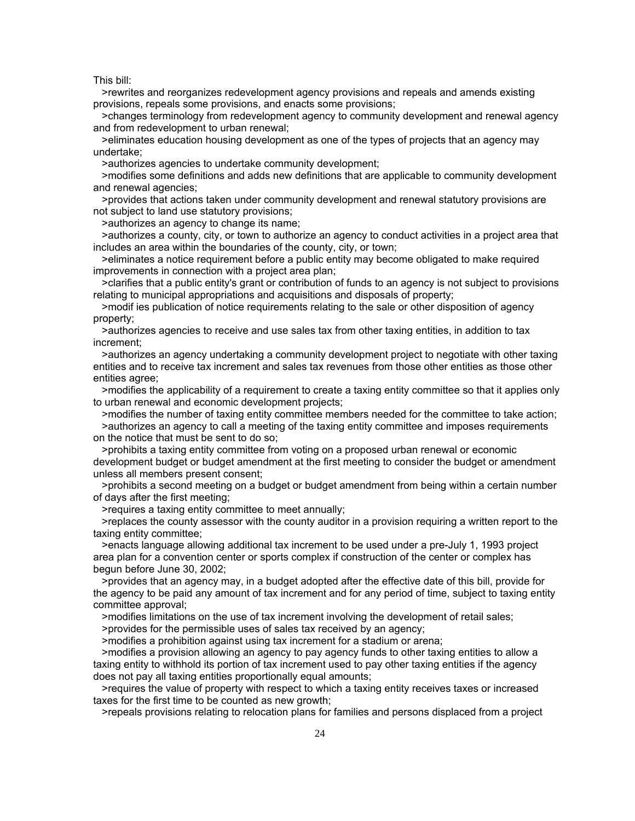>rewrites and reorganizes redevelopment agency provisions and repeals and amends existing provisions, repeals some provisions, and enacts some provisions;

 >changes terminology from redevelopment agency to community development and renewal agency and from redevelopment to urban renewal;

 >eliminates education housing development as one of the types of projects that an agency may undertake;

>authorizes agencies to undertake community development;

 >modifies some definitions and adds new definitions that are applicable to community development and renewal agencies;

 >provides that actions taken under community development and renewal statutory provisions are not subject to land use statutory provisions;

>authorizes an agency to change its name;

 >authorizes a county, city, or town to authorize an agency to conduct activities in a project area that includes an area within the boundaries of the county, city, or town;

 >eliminates a notice requirement before a public entity may become obligated to make required improvements in connection with a project area plan;

 >clarifies that a public entity's grant or contribution of funds to an agency is not subject to provisions relating to municipal appropriations and acquisitions and disposals of property;

 >modif ies publication of notice requirements relating to the sale or other disposition of agency property;

 >authorizes agencies to receive and use sales tax from other taxing entities, in addition to tax increment;

 >authorizes an agency undertaking a community development project to negotiate with other taxing entities and to receive tax increment and sales tax revenues from those other entities as those other entities agree;

 >modifies the applicability of a requirement to create a taxing entity committee so that it applies only to urban renewal and economic development projects;

 >modifies the number of taxing entity committee members needed for the committee to take action; >authorizes an agency to call a meeting of the taxing entity committee and imposes requirements on the notice that must be sent to do so;

 >prohibits a taxing entity committee from voting on a proposed urban renewal or economic development budget or budget amendment at the first meeting to consider the budget or amendment unless all members present consent;

 >prohibits a second meeting on a budget or budget amendment from being within a certain number of days after the first meeting;

>requires a taxing entity committee to meet annually;

 >replaces the county assessor with the county auditor in a provision requiring a written report to the taxing entity committee;

 >enacts language allowing additional tax increment to be used under a pre-July 1, 1993 project area plan for a convention center or sports complex if construction of the center or complex has begun before June 30, 2002;

 >provides that an agency may, in a budget adopted after the effective date of this bill, provide for the agency to be paid any amount of tax increment and for any period of time, subject to taxing entity committee approval;

>modifies limitations on the use of tax increment involving the development of retail sales;

>provides for the permissible uses of sales tax received by an agency;

>modifies a prohibition against using tax increment for a stadium or arena;

 >modifies a provision allowing an agency to pay agency funds to other taxing entities to allow a taxing entity to withhold its portion of tax increment used to pay other taxing entities if the agency does not pay all taxing entities proportionally equal amounts;

 >requires the value of property with respect to which a taxing entity receives taxes or increased taxes for the first time to be counted as new growth;

>repeals provisions relating to relocation plans for families and persons displaced from a project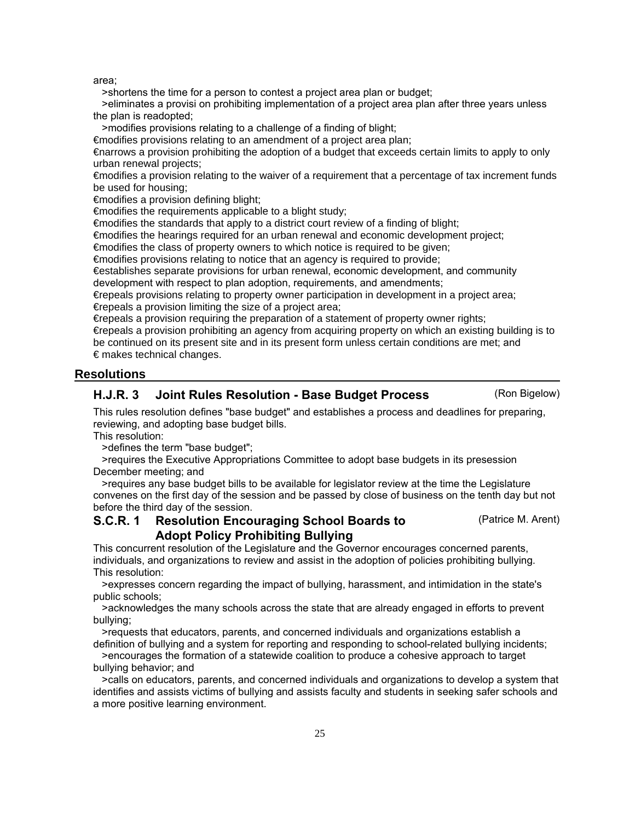area;

>shortens the time for a person to contest a project area plan or budget;

 >eliminates a provisi on prohibiting implementation of a project area plan after three years unless the plan is readopted;

>modifies provisions relating to a challenge of a finding of blight;

€modifies provisions relating to an amendment of a project area plan;

€narrows a provision prohibiting the adoption of a budget that exceeds certain limits to apply to only urban renewal projects;

€modifies a provision relating to the waiver of a requirement that a percentage of tax increment funds be used for housing;

€modifies a provision defining blight;

€modifies the requirements applicable to a blight study;

 $\epsilon$  modifies the standards that apply to a district court review of a finding of blight;

€modifies the hearings required for an urban renewal and economic development project;

€modifies the class of property owners to which notice is required to be given;

€modifies provisions relating to notice that an agency is required to provide;

€establishes separate provisions for urban renewal, economic development, and community

development with respect to plan adoption, requirements, and amendments;

€repeals provisions relating to property owner participation in development in a project area; €repeals a provision limiting the size of a project area;

€repeals a provision requiring the preparation of a statement of property owner rights;

€repeals a provision prohibiting an agency from acquiring property on which an existing building is to be continued on its present site and in its present form unless certain conditions are met; and  $\epsilon$  makes technical changes.

#### **Resolutions**

#### H.J.R. 3 Joint Rules Resolution - Base Budget Process (Ron Bigelow)

This rules resolution defines "base budget" and establishes a process and deadlines for preparing, reviewing, and adopting base budget bills.

This resolution:

>defines the term "base budget";

 >requires the Executive Appropriations Committee to adopt base budgets in its presession December meeting; and

 >requires any base budget bills to be available for legislator review at the time the Legislature convenes on the first day of the session and be passed by close of business on the tenth day but not before the third day of the session.

#### Resolution Encouraging School Boards to (Patrice M. Arent) Adopt Policy Prohibiting Bullying S.C.R. 1

This concurrent resolution of the Legislature and the Governor encourages concerned parents, individuals, and organizations to review and assist in the adoption of policies prohibiting bullying. This resolution:

 >expresses concern regarding the impact of bullying, harassment, and intimidation in the state's public schools;

 >acknowledges the many schools across the state that are already engaged in efforts to prevent bullying;

 >requests that educators, parents, and concerned individuals and organizations establish a definition of bullying and a system for reporting and responding to school-related bullying incidents;

 >encourages the formation of a statewide coalition to produce a cohesive approach to target bullying behavior; and

 >calls on educators, parents, and concerned individuals and organizations to develop a system that identifies and assists victims of bullying and assists faculty and students in seeking safer schools and a more positive learning environment.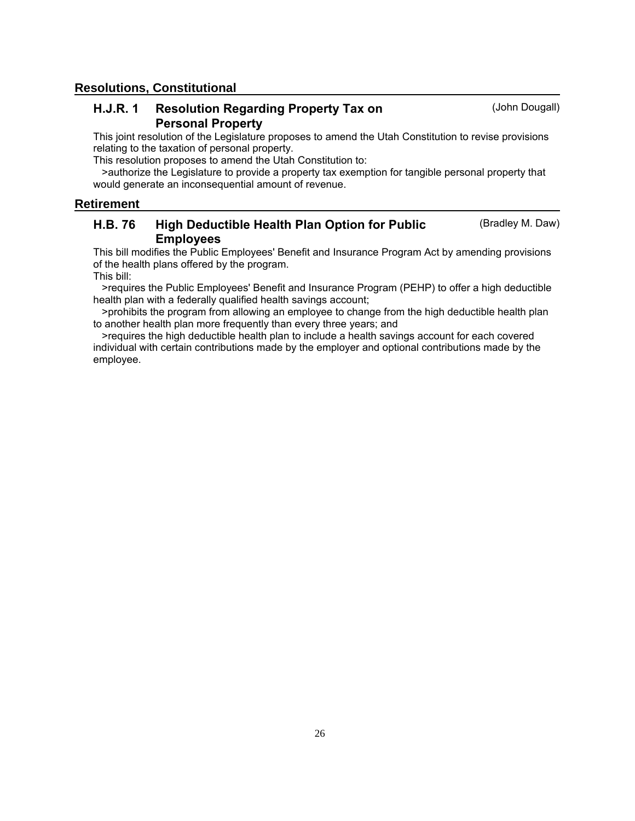### **Resolutions, Constitutional**

#### Resolution Regarding Property Tax on (John Dougall) Personal Property H.J.R. 1

This joint resolution of the Legislature proposes to amend the Utah Constitution to revise provisions relating to the taxation of personal property.

This resolution proposes to amend the Utah Constitution to:

 >authorize the Legislature to provide a property tax exemption for tangible personal property that would generate an inconsequential amount of revenue.

#### **Retirement**

#### High Deductible Health Plan Option for Public (Bradley M. Daw) Employees H.B. 76

This bill modifies the Public Employees' Benefit and Insurance Program Act by amending provisions of the health plans offered by the program.

This bill:

 >requires the Public Employees' Benefit and Insurance Program (PEHP) to offer a high deductible health plan with a federally qualified health savings account;

 >prohibits the program from allowing an employee to change from the high deductible health plan to another health plan more frequently than every three years; and

 >requires the high deductible health plan to include a health savings account for each covered individual with certain contributions made by the employer and optional contributions made by the employee.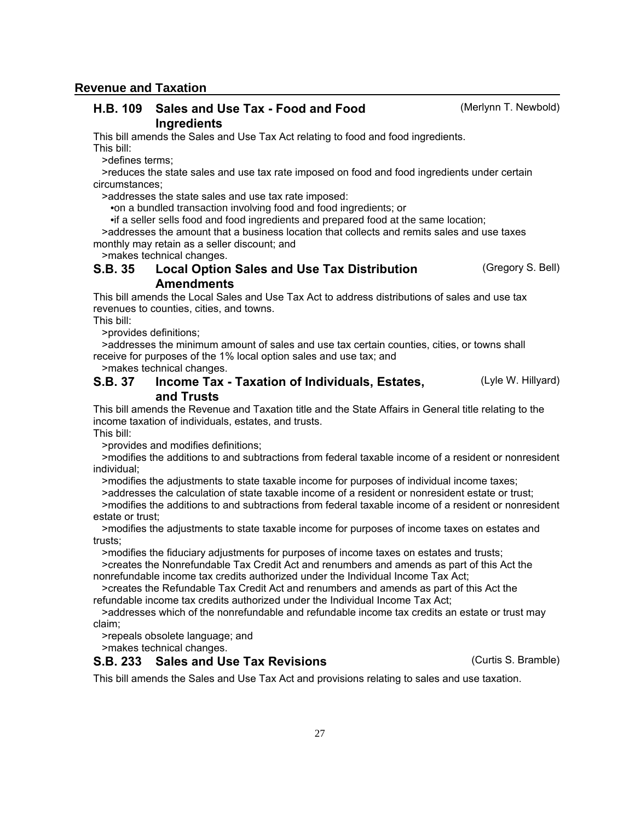**Revenue and Taxation**

#### H.B. 109 Sales and Use Tax - Food and Food Merlynn T. Newbold) **Ingredients**

This bill amends the Sales and Use Tax Act relating to food and food ingredients. This bill:

>defines terms;

 >reduces the state sales and use tax rate imposed on food and food ingredients under certain circumstances;

>addresses the state sales and use tax rate imposed:

•on a bundled transaction involving food and food ingredients; or

•if a seller sells food and food ingredients and prepared food at the same location;

 >addresses the amount that a business location that collects and remits sales and use taxes monthly may retain as a seller discount; and

>makes technical changes.

#### Local Option Sales and Use Tax Distribution (Gregory S. Bell) **Amendments** S.B. 35

This bill amends the Local Sales and Use Tax Act to address distributions of sales and use tax revenues to counties, cities, and towns.

This bill:

>provides definitions;

 >addresses the minimum amount of sales and use tax certain counties, cities, or towns shall receive for purposes of the 1% local option sales and use tax; and

>makes technical changes.

#### Income Tax - Taxation of Individuals, Estates, **Electer Contains (Lyle W. Hillyard)** and Trusts S.B. 37

This bill amends the Revenue and Taxation title and the State Affairs in General title relating to the income taxation of individuals, estates, and trusts.

This bill:

>provides and modifies definitions;

 >modifies the additions to and subtractions from federal taxable income of a resident or nonresident individual;

>modifies the adjustments to state taxable income for purposes of individual income taxes;

 >addresses the calculation of state taxable income of a resident or nonresident estate or trust; >modifies the additions to and subtractions from federal taxable income of a resident or nonresident

estate or trust; >modifies the adjustments to state taxable income for purposes of income taxes on estates and

trusts;

>modifies the fiduciary adjustments for purposes of income taxes on estates and trusts;

 >creates the Nonrefundable Tax Credit Act and renumbers and amends as part of this Act the nonrefundable income tax credits authorized under the Individual Income Tax Act;

 >creates the Refundable Tax Credit Act and renumbers and amends as part of this Act the refundable income tax credits authorized under the Individual Income Tax Act;

 >addresses which of the nonrefundable and refundable income tax credits an estate or trust may claim;

>repeals obsolete language; and

>makes technical changes.

### S.B. 233 Sales and Use Tax Revisions (Curtis S. Bramble)

This bill amends the Sales and Use Tax Act and provisions relating to sales and use taxation.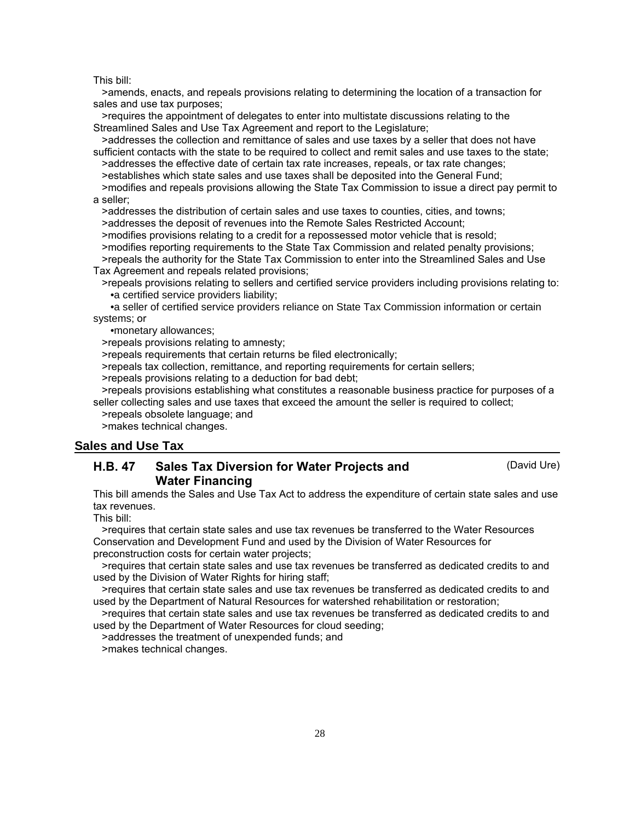>amends, enacts, and repeals provisions relating to determining the location of a transaction for sales and use tax purposes;

 >requires the appointment of delegates to enter into multistate discussions relating to the Streamlined Sales and Use Tax Agreement and report to the Legislature;

 >addresses the collection and remittance of sales and use taxes by a seller that does not have sufficient contacts with the state to be required to collect and remit sales and use taxes to the state;

>addresses the effective date of certain tax rate increases, repeals, or tax rate changes;

>establishes which state sales and use taxes shall be deposited into the General Fund;

 >modifies and repeals provisions allowing the State Tax Commission to issue a direct pay permit to a seller;

 >addresses the distribution of certain sales and use taxes to counties, cities, and towns; >addresses the deposit of revenues into the Remote Sales Restricted Account;

>modifies provisions relating to a credit for a repossessed motor vehicle that is resold;

 >modifies reporting requirements to the State Tax Commission and related penalty provisions; >repeals the authority for the State Tax Commission to enter into the Streamlined Sales and Use Tax Agreement and repeals related provisions;

 >repeals provisions relating to sellers and certified service providers including provisions relating to: •a certified service providers liability;

 •a seller of certified service providers reliance on State Tax Commission information or certain systems; or

•monetary allowances;

>repeals provisions relating to amnesty;

>repeals requirements that certain returns be filed electronically;

>repeals tax collection, remittance, and reporting requirements for certain sellers;

>repeals provisions relating to a deduction for bad debt;

 >repeals provisions establishing what constitutes a reasonable business practice for purposes of a seller collecting sales and use taxes that exceed the amount the seller is required to collect;

>repeals obsolete language; and

>makes technical changes.

#### **Sales and Use Tax**

#### Sales Tax Diversion for Water Projects and (David Ure) Water Financing H.B. 47

This bill amends the Sales and Use Tax Act to address the expenditure of certain state sales and use tax revenues.

This bill:

 >requires that certain state sales and use tax revenues be transferred to the Water Resources Conservation and Development Fund and used by the Division of Water Resources for preconstruction costs for certain water projects;

 >requires that certain state sales and use tax revenues be transferred as dedicated credits to and used by the Division of Water Rights for hiring staff;

 >requires that certain state sales and use tax revenues be transferred as dedicated credits to and used by the Department of Natural Resources for watershed rehabilitation or restoration;

 >requires that certain state sales and use tax revenues be transferred as dedicated credits to and used by the Department of Water Resources for cloud seeding;

>addresses the treatment of unexpended funds; and

>makes technical changes.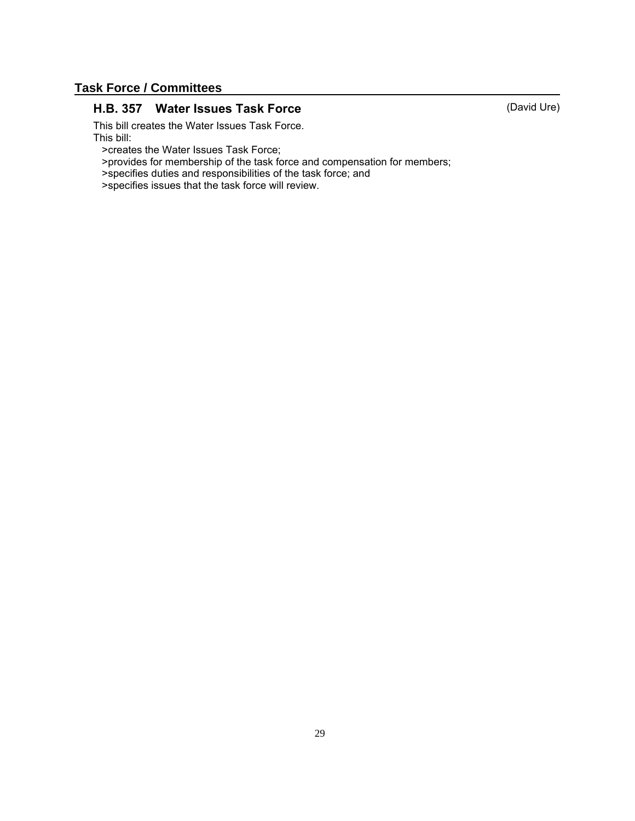## **Task Force / Committees**

### H.B. 357 Water Issues Task Force (David Ure)

This bill creates the Water Issues Task Force. This bill:

>creates the Water Issues Task Force;

>provides for membership of the task force and compensation for members;

>specifies duties and responsibilities of the task force; and

>specifies issues that the task force will review.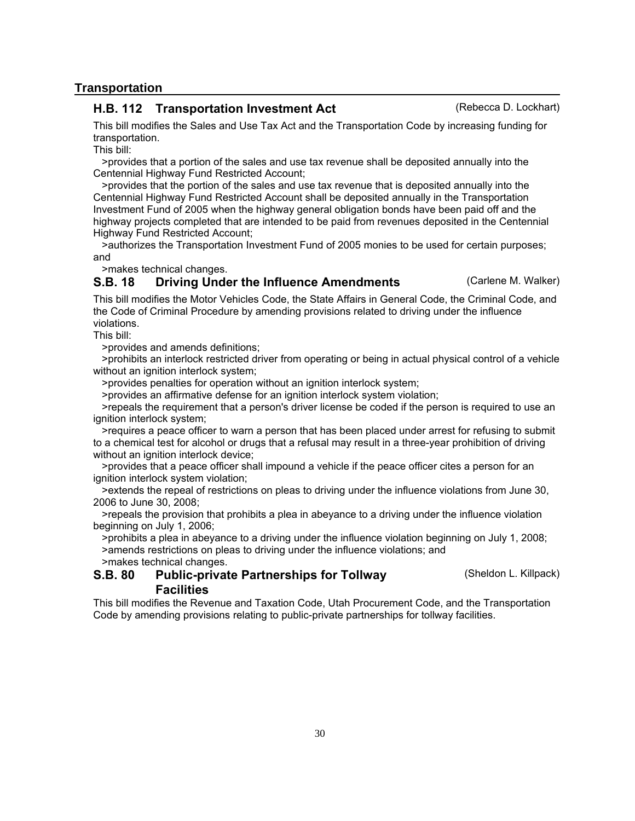## **Transportation**

### H.B. 112 Transportation Investment Act (Rebecca D. Lockhart)

This bill modifies the Sales and Use Tax Act and the Transportation Code by increasing funding for transportation.

This bill:

 >provides that a portion of the sales and use tax revenue shall be deposited annually into the Centennial Highway Fund Restricted Account;

 >provides that the portion of the sales and use tax revenue that is deposited annually into the Centennial Highway Fund Restricted Account shall be deposited annually in the Transportation Investment Fund of 2005 when the highway general obligation bonds have been paid off and the highway projects completed that are intended to be paid from revenues deposited in the Centennial Highway Fund Restricted Account;

 >authorizes the Transportation Investment Fund of 2005 monies to be used for certain purposes; and

>makes technical changes.

## **S.B. 18** Driving Under the Influence Amendments (Carlene M. Walker)

This bill modifies the Motor Vehicles Code, the State Affairs in General Code, the Criminal Code, and the Code of Criminal Procedure by amending provisions related to driving under the influence violations.

This bill:

>provides and amends definitions;

 >prohibits an interlock restricted driver from operating or being in actual physical control of a vehicle without an ignition interlock system;

>provides penalties for operation without an ignition interlock system;

>provides an affirmative defense for an ignition interlock system violation;

 >repeals the requirement that a person's driver license be coded if the person is required to use an ignition interlock system;

 >requires a peace officer to warn a person that has been placed under arrest for refusing to submit to a chemical test for alcohol or drugs that a refusal may result in a three-year prohibition of driving without an ignition interlock device;

 >provides that a peace officer shall impound a vehicle if the peace officer cites a person for an ignition interlock system violation;

 >extends the repeal of restrictions on pleas to driving under the influence violations from June 30, 2006 to June 30, 2008;

 >repeals the provision that prohibits a plea in abeyance to a driving under the influence violation beginning on July 1, 2006;

 >prohibits a plea in abeyance to a driving under the influence violation beginning on July 1, 2008; >amends restrictions on pleas to driving under the influence violations; and

>makes technical changes.

#### Public-private Partnerships for Tollway (Sheldon L. Killpack) **Facilities** S.B. 80

This bill modifies the Revenue and Taxation Code, Utah Procurement Code, and the Transportation Code by amending provisions relating to public-private partnerships for tollway facilities.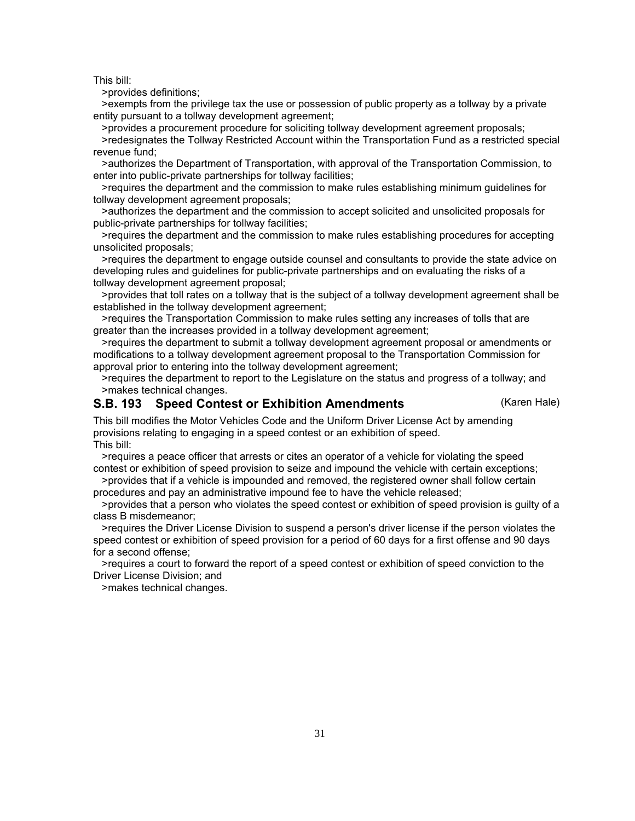>provides definitions;

 >exempts from the privilege tax the use or possession of public property as a tollway by a private entity pursuant to a tollway development agreement;

 >provides a procurement procedure for soliciting tollway development agreement proposals; >redesignates the Tollway Restricted Account within the Transportation Fund as a restricted special revenue fund;

 >authorizes the Department of Transportation, with approval of the Transportation Commission, to enter into public-private partnerships for tollway facilities;

 >requires the department and the commission to make rules establishing minimum guidelines for tollway development agreement proposals;

 >authorizes the department and the commission to accept solicited and unsolicited proposals for public-private partnerships for tollway facilities;

 >requires the department and the commission to make rules establishing procedures for accepting unsolicited proposals;

 >requires the department to engage outside counsel and consultants to provide the state advice on developing rules and guidelines for public-private partnerships and on evaluating the risks of a tollway development agreement proposal;

 >provides that toll rates on a tollway that is the subject of a tollway development agreement shall be established in the tollway development agreement;

 >requires the Transportation Commission to make rules setting any increases of tolls that are greater than the increases provided in a tollway development agreement;

 >requires the department to submit a tollway development agreement proposal or amendments or modifications to a tollway development agreement proposal to the Transportation Commission for approval prior to entering into the tollway development agreement:

 >requires the department to report to the Legislature on the status and progress of a tollway; and >makes technical changes.

#### S.B. 193 Speed Contest or Exhibition Amendments (Karen Hale)

This bill modifies the Motor Vehicles Code and the Uniform Driver License Act by amending provisions relating to engaging in a speed contest or an exhibition of speed. This bill:

 >requires a peace officer that arrests or cites an operator of a vehicle for violating the speed contest or exhibition of speed provision to seize and impound the vehicle with certain exceptions;

 >provides that if a vehicle is impounded and removed, the registered owner shall follow certain procedures and pay an administrative impound fee to have the vehicle released;

 >provides that a person who violates the speed contest or exhibition of speed provision is guilty of a class B misdemeanor;

 >requires the Driver License Division to suspend a person's driver license if the person violates the speed contest or exhibition of speed provision for a period of 60 days for a first offense and 90 days for a second offense;

 >requires a court to forward the report of a speed contest or exhibition of speed conviction to the Driver License Division; and

>makes technical changes.